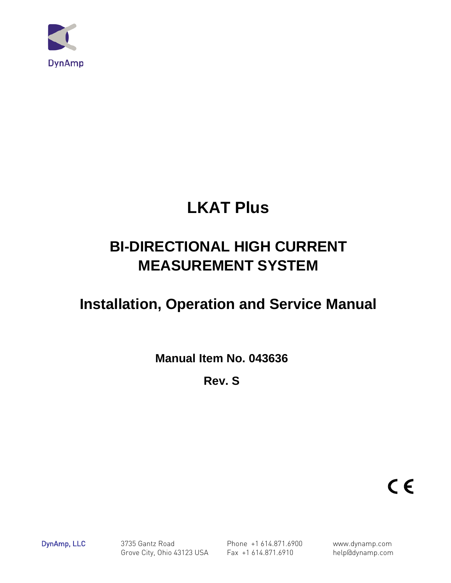

# **LKAT Plus**

# **BI-DIRECTIONAL HIGH CURRENT MEASUREMENT SYSTEM**

# **Installation, Operation and Service Manual**

**Manual Item No. 043636** 

**Rev. S** 

 $C \in$ 

DynAmp, LLC 3735 Gantz Road Phone +1 614.871.6900 www.dynamp.com Grove City, Ohio 43123 USA Fax +1 614.871.6910 help@dynamp.com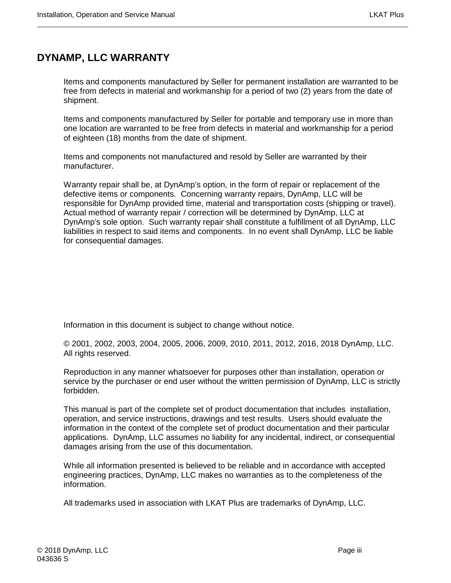# <span id="page-2-0"></span>**DYNAMP, LLC WARRANTY**

Items and components manufactured by Seller for permanent installation are warranted to be free from defects in material and workmanship for a period of two (2) years from the date of shipment.

Items and components manufactured by Seller for portable and temporary use in more than one location are warranted to be free from defects in material and workmanship for a period of eighteen (18) months from the date of shipment.

Items and components not manufactured and resold by Seller are warranted by their manufacturer.

Warranty repair shall be, at DynAmp's option, in the form of repair or replacement of the defective items or components. Concerning warranty repairs, DynAmp, LLC will be responsible for DynAmp provided time, material and transportation costs (shipping or travel). Actual method of warranty repair / correction will be determined by DynAmp, LLC at DynAmp's sole option. Such warranty repair shall constitute a fulfillment of all DynAmp, LLC liabilities in respect to said items and components. In no event shall DynAmp, LLC be liable for consequential damages.

Information in this document is subject to change without notice.

© 2001, 2002, 2003, 2004, 2005, 2006, 2009, 2010, 2011, 2012, 2016, 2018 DynAmp, LLC. All rights reserved.

Reproduction in any manner whatsoever for purposes other than installation, operation or service by the purchaser or end user without the written permission of DynAmp, LLC is strictly forbidden.

This manual is part of the complete set of product documentation that includes installation, operation, and service instructions, drawings and test results. Users should evaluate the information in the context of the complete set of product documentation and their particular applications. DynAmp, LLC assumes no liability for any incidental, indirect, or consequential damages arising from the use of this documentation.

While all information presented is believed to be reliable and in accordance with accepted engineering practices, DynAmp, LLC makes no warranties as to the completeness of the information.

All trademarks used in association with LKAT Plus are trademarks of DynAmp, LLC.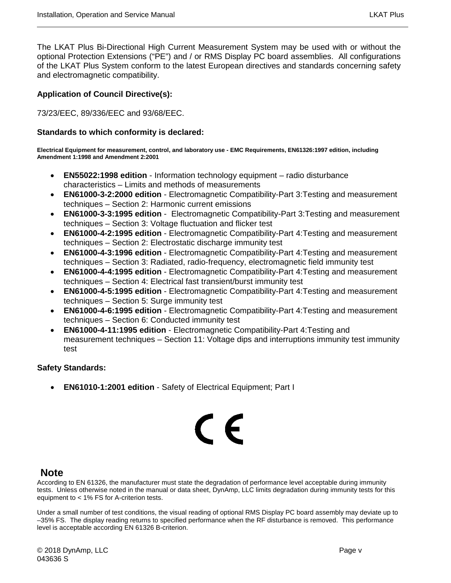The LKAT Plus Bi-Directional High Current Measurement System may be used with or without the optional Protection Extensions ("PE") and / or RMS Display PC board assemblies. All configurations of the LKAT Plus System conform to the latest European directives and standards concerning safety and electromagnetic compatibility.

#### **Application of Council Directive(s):**

73/23/EEC, 89/336/EEC and 93/68/EEC.

#### **Standards to which conformity is declared:**

**Electrical Equipment for measurement, control, and laboratory use - EMC Requirements, EN61326:1997 edition, including Amendment 1:1998 and Amendment 2:2001**

- **EN55022:1998 edition** Information technology equipment radio disturbance characteristics – Limits and methods of measurements
- **EN61000-3-2:2000 edition** Electromagnetic Compatibility-Part 3:Testing and measurement techniques – Section 2: Harmonic current emissions
- **EN61000-3-3:1995 edition** Electromagnetic Compatibility-Part 3:Testing and measurement techniques – Section 3: Voltage fluctuation and flicker test
- **EN61000-4-2:1995 edition** Electromagnetic Compatibility-Part 4:Testing and measurement techniques – Section 2: Electrostatic discharge immunity test
- **EN61000-4-3:1996 edition** Electromagnetic Compatibility-Part 4:Testing and measurement techniques – Section 3: Radiated, radio-frequency, electromagnetic field immunity test
- **EN61000-4-4:1995 edition** Electromagnetic Compatibility-Part 4:Testing and measurement techniques – Section 4: Electrical fast transient/burst immunity test
- **EN61000-4-5:1995 edition** Electromagnetic Compatibility-Part 4:Testing and measurement techniques – Section 5: Surge immunity test
- **EN61000-4-6:1995 edition** Electromagnetic Compatibility-Part 4:Testing and measurement techniques – Section 6: Conducted immunity test
- **EN61000-4-11:1995 edition** Electromagnetic Compatibility-Part 4:Testing and measurement techniques – Section 11: Voltage dips and interruptions immunity test immunity test

#### **Safety Standards:**

• **EN61010-1:2001 edition** - Safety of Electrical Equipment; Part I

# $\epsilon$

# **Note**

According to EN 61326, the manufacturer must state the degradation of performance level acceptable during immunity tests. Unless otherwise noted in the manual or data sheet, DynAmp, LLC limits degradation during immunity tests for this equipment to < 1% FS for A-criterion tests.

Under a small number of test conditions, the visual reading of optional RMS Display PC board assembly may deviate up to –35% FS. The display reading returns to specified performance when the RF disturbance is removed. This performance level is acceptable according EN 61326 B-criterion.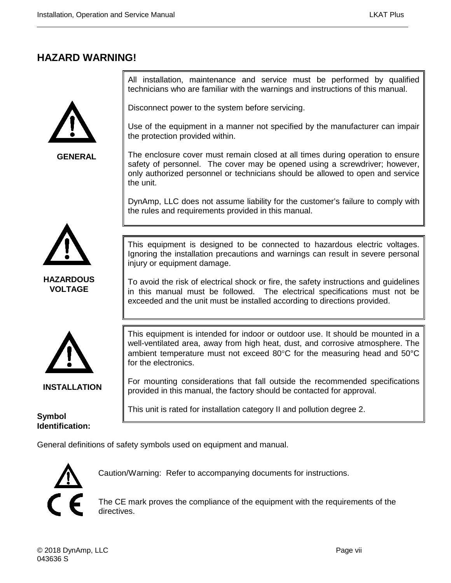# <span id="page-6-0"></span>**HAZARD WARNING!**



**GENERAL**

All installation, maintenance and service must be performed by qualified technicians who are familiar with the warnings and instructions of this manual.

Disconnect power to the system before servicing.

Use of the equipment in a manner not specified by the manufacturer can impair the protection provided within.

The enclosure cover must remain closed at all times during operation to ensure safety of personnel. The cover may be opened using a screwdriver; however, only authorized personnel or technicians should be allowed to open and service the unit.

DynAmp, LLC does not assume liability for the customer's failure to comply with the rules and requirements provided in this manual.



**HAZARDOUS VOLTAGE**

This equipment is designed to be connected to hazardous electric voltages. Ignoring the installation precautions and warnings can result in severe personal injury or equipment damage.

To avoid the risk of electrical shock or fire, the safety instructions and guidelines in this manual must be followed. The electrical specifications must not be exceeded and the unit must be installed according to directions provided.



**INSTALLATION**

**Symbol** 

**Identification:**

This equipment is intended for indoor or outdoor use. It should be mounted in a well-ventilated area, away from high heat, dust, and corrosive atmosphere. The ambient temperature must not exceed 80°C for the measuring head and 50°C for the electronics.

For mounting considerations that fall outside the recommended specifications provided in this manual, the factory should be contacted for approval.

This unit is rated for installation category II and pollution degree 2.

General definitions of safety symbols used on equipment and manual.



Caution/Warning: Refer to accompanying documents for instructions.

The CE mark proves the compliance of the equipment with the requirements of the directives.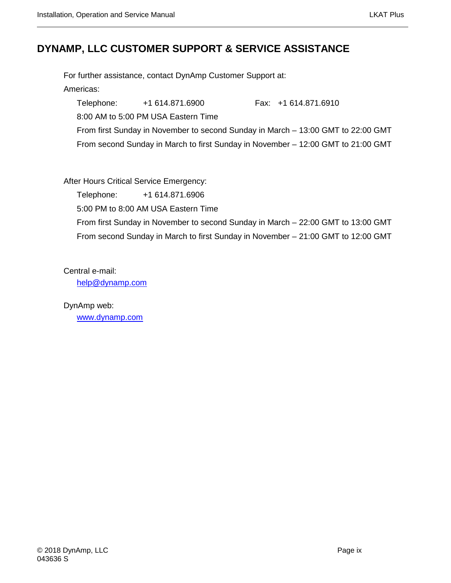# <span id="page-8-0"></span>**DYNAMP, LLC CUSTOMER SUPPORT & SERVICE ASSISTANCE**

For further assistance, contact DynAmp Customer Support at: Americas: Telephone: +1 614.871.6900 Fax: +1 614.871.6910 8:00 AM to 5:00 PM USA Eastern Time From first Sunday in November to second Sunday in March – 13:00 GMT to 22:00 GMT From second Sunday in March to first Sunday in November – 12:00 GMT to 21:00 GMT

After Hours Critical Service Emergency:

Telephone: +1 614.871.6906 5:00 PM to 8:00 AM USA Eastern Time From first Sunday in November to second Sunday in March – 22:00 GMT to 13:00 GMT From second Sunday in March to first Sunday in November – 21:00 GMT to 12:00 GMT

Central e-mail: [help@dynamp.com](mailto:help@dynamp.com)

DynAmp web: [www.dynamp.com](http://www.dynamp.com/)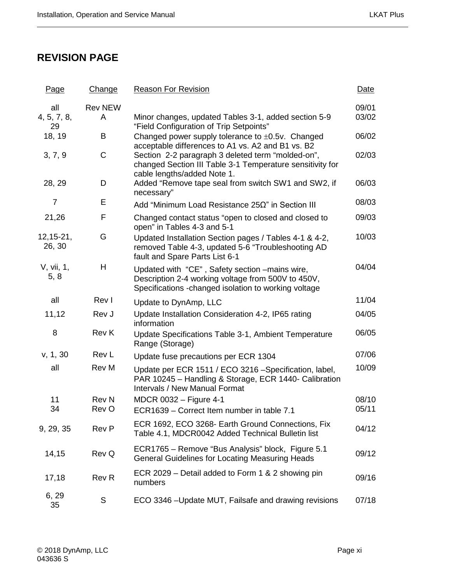# <span id="page-10-0"></span>**REVISION PAGE**

| Page                     | Change                | <b>Reason For Revision</b>                                                                                                                                    | Date           |
|--------------------------|-----------------------|---------------------------------------------------------------------------------------------------------------------------------------------------------------|----------------|
| all                      | <b>Rev NEW</b>        |                                                                                                                                                               | 09/01          |
| 4, 5, 7, 8,<br>29        | A                     | Minor changes, updated Tables 3-1, added section 5-9<br>"Field Configuration of Trip Setpoints"                                                               | 03/02          |
| 18, 19                   | B                     | Changed power supply tolerance to $\pm 0.5v$ . Changed<br>acceptable differences to A1 vs. A2 and B1 vs. B2                                                   | 06/02          |
| 3, 7, 9                  | $\mathsf C$           | Section 2-2 paragraph 3 deleted term "molded-on",<br>changed Section III Table 3-1 Temperature sensitivity for<br>cable lengths/added Note 1.                 | 02/03          |
| 28, 29                   | D                     | Added "Remove tape seal from switch SW1 and SW2, if<br>necessary"                                                                                             | 06/03          |
| $\overline{7}$           | Е                     | Add "Minimum Load Resistance $25\Omega$ " in Section III                                                                                                      | 08/03          |
| 21,26                    | F                     | Changed contact status "open to closed and closed to<br>open" in Tables 4-3 and 5-1                                                                           | 09/03          |
| $12, 15 - 21,$<br>26, 30 | G                     | Updated Installation Section pages / Tables 4-1 & 4-2,<br>removed Table 4-3, updated 5-6 "Troubleshooting AD<br>fault and Spare Parts List 6-1                | 10/03          |
| V, vii, 1,<br>5, 8       | H                     | Updated with "CE", Safety section -mains wire,<br>Description 2-4 working voltage from 500V to 450V,<br>Specifications - changed isolation to working voltage | 04/04          |
| all                      | Rev I                 | Update to DynAmp, LLC                                                                                                                                         | 11/04          |
| 11,12                    | Rev J                 | Update Installation Consideration 4-2, IP65 rating<br>information                                                                                             | 04/05          |
| 8                        | <b>Rev K</b>          | Update Specifications Table 3-1, Ambient Temperature<br>Range (Storage)                                                                                       | 06/05          |
| v, 1, 30                 | Rev L                 | Update fuse precautions per ECR 1304                                                                                                                          | 07/06          |
| all                      | <b>Rev M</b>          | Update per ECR 1511 / ECO 3216 -Specification, label,<br>PAR 10245 - Handling & Storage, ECR 1440- Calibration<br><b>Intervals / New Manual Format</b>        | 10/09          |
| 11<br>34                 | <b>Rev N</b><br>Rev O | MDCR 0032 - Figure 4-1                                                                                                                                        | 08/10<br>05/11 |
|                          |                       | ECR1639 - Correct Item number in table 7.1                                                                                                                    |                |
| 9, 29, 35                | <b>Rev P</b>          | ECR 1692, ECO 3268- Earth Ground Connections, Fix<br>Table 4.1, MDCR0042 Added Technical Bulletin list                                                        | 04/12          |
| 14,15                    | Rev Q                 | ECR1765 - Remove "Bus Analysis" block, Figure 5.1<br><b>General Guidelines for Locating Measuring Heads</b>                                                   | 09/12          |
| 17,18                    | <b>Rev R</b>          | ECR 2029 – Detail added to Form 1 & 2 showing pin<br>numbers                                                                                                  | 09/16          |
| 6, 29<br>35              | $\mathsf S$           | ECO 3346 - Update MUT, Failsafe and drawing revisions                                                                                                         | 07/18          |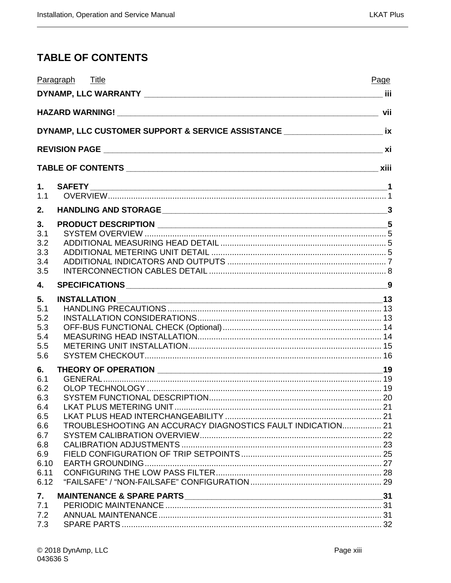# <span id="page-12-0"></span>**TABLE OF CONTENTS**

|              | Paragraph Title                                                                     | Page |
|--------------|-------------------------------------------------------------------------------------|------|
|              |                                                                                     |      |
|              |                                                                                     |      |
|              | DYNAMP, LLC CUSTOMER SUPPORT & SERVICE ASSISTANCE ______________________________ ix |      |
|              |                                                                                     |      |
|              |                                                                                     |      |
| 1.           | <b>SAFETY</b>                                                                       |      |
| 1.1          |                                                                                     |      |
| 2.           |                                                                                     |      |
| 3.           |                                                                                     |      |
| 3.1          |                                                                                     |      |
| 3.2<br>3.3   |                                                                                     |      |
| 3.4          |                                                                                     |      |
| 3.5          |                                                                                     |      |
| 4.           |                                                                                     |      |
| 5.           |                                                                                     |      |
| 5.1          |                                                                                     |      |
| 5.2<br>5.3   |                                                                                     |      |
| 5.4          |                                                                                     |      |
| 5.5          |                                                                                     |      |
| 5.6          |                                                                                     |      |
| 6.           |                                                                                     |      |
| 6.1<br>6.2   |                                                                                     |      |
| 6.3          |                                                                                     |      |
| 6.4          |                                                                                     |      |
| 6.5<br>6.6   | TROUBLESHOOTING AN ACCURACY DIAGNOSTICS FAULT INDICATION 21                         |      |
| 6.7          |                                                                                     |      |
| 6.8          |                                                                                     |      |
| 6.9          |                                                                                     |      |
| 6.10<br>6.11 |                                                                                     |      |
| 6.12         |                                                                                     |      |
| 7.           |                                                                                     |      |
| 7.1          |                                                                                     |      |
| 7.2          |                                                                                     |      |
| 7.3          |                                                                                     |      |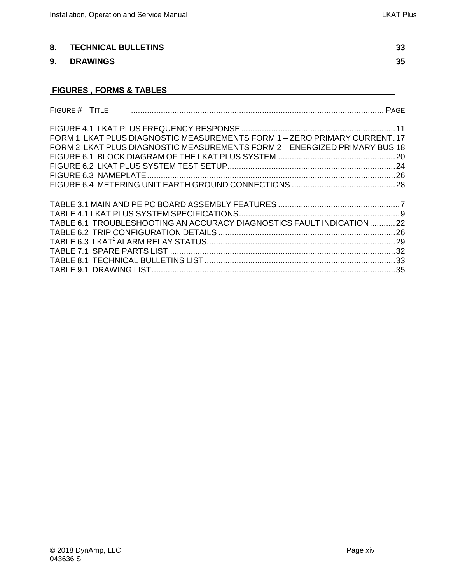| 8. | <b>TECHNICAL BULLETINS</b> | ູນ |
|----|----------------------------|----|
| 9. | <b>DRAWINGS</b>            | ິ  |

# **FIGURES , FORMS & TABLES**

| FORM 1 LKAT PLUS DIAGNOSTIC MEASUREMENTS FORM 1 - ZERO PRIMARY CURRENT. 17<br>FORM 2 LKAT PLUS DIAGNOSTIC MEASUREMENTS FORM 2 - ENERGIZED PRIMARY BUS 18<br>TABLE 6.1 TROUBLESHOOTING AN ACCURACY DIAGNOSTICS FAULT INDICATION22 | FIGURE # TITLE |  |
|----------------------------------------------------------------------------------------------------------------------------------------------------------------------------------------------------------------------------------|----------------|--|
|                                                                                                                                                                                                                                  |                |  |
|                                                                                                                                                                                                                                  |                |  |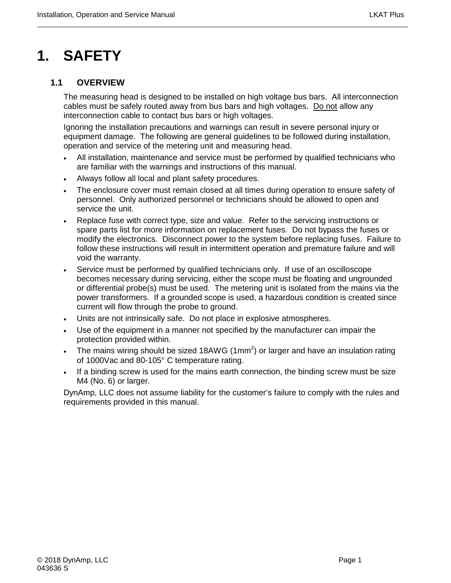# <span id="page-14-0"></span>**1. SAFETY**

# <span id="page-14-1"></span>**1.1 OVERVIEW**

The measuring head is designed to be installed on high voltage bus bars. All interconnection cables must be safely routed away from bus bars and high voltages. Do not allow any interconnection cable to contact bus bars or high voltages.

Ignoring the installation precautions and warnings can result in severe personal injury or equipment damage. The following are general guidelines to be followed during installation, operation and service of the metering unit and measuring head.

- All installation, maintenance and service must be performed by qualified technicians who are familiar with the warnings and instructions of this manual.
- Always follow all local and plant safety procedures.
- The enclosure cover must remain closed at all times during operation to ensure safety of personnel. Only authorized personnel or technicians should be allowed to open and service the unit.
- Replace fuse with correct type, size and value. Refer to the servicing instructions or spare parts list for more information on replacement fuses. Do not bypass the fuses or modify the electronics. Disconnect power to the system before replacing fuses. Failure to follow these instructions will result in intermittent operation and premature failure and will void the warranty.
- Service must be performed by qualified technicians only. If use of an oscilloscope becomes necessary during servicing, either the scope must be floating and ungrounded or differential probe(s) must be used. The metering unit is isolated from the mains via the power transformers. If a grounded scope is used, a hazardous condition is created since current will flow through the probe to ground.
- Units are not intrinsically safe. Do not place in explosive atmospheres.
- Use of the equipment in a manner not specified by the manufacturer can impair the protection provided within.
- The mains wiring should be sized 18AWG (1mm<sup>2</sup>) or larger and have an insulation rating of 1000Vac and 80-105° C temperature rating.
- If a binding screw is used for the mains earth connection, the binding screw must be size M4 (No. 6) or larger.

DynAmp, LLC does not assume liability for the customer's failure to comply with the rules and requirements provided in this manual.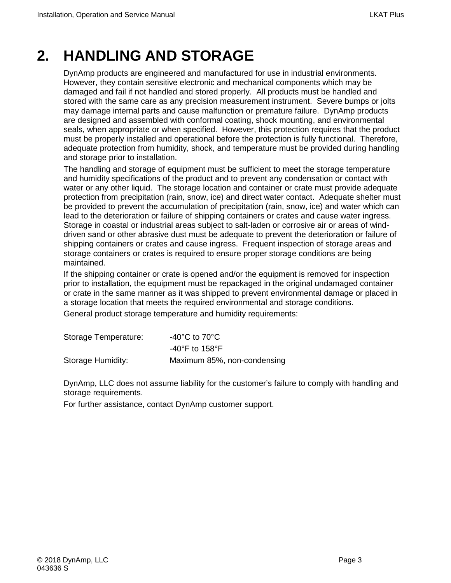# <span id="page-16-0"></span>**2. HANDLING AND STORAGE**

DynAmp products are engineered and manufactured for use in industrial environments. However, they contain sensitive electronic and mechanical components which may be damaged and fail if not handled and stored properly. All products must be handled and stored with the same care as any precision measurement instrument. Severe bumps or jolts may damage internal parts and cause malfunction or premature failure. DynAmp products are designed and assembled with conformal coating, shock mounting, and environmental seals, when appropriate or when specified. However, this protection requires that the product must be properly installed and operational before the protection is fully functional. Therefore, adequate protection from humidity, shock, and temperature must be provided during handling and storage prior to installation.

The handling and storage of equipment must be sufficient to meet the storage temperature and humidity specifications of the product and to prevent any condensation or contact with water or any other liquid. The storage location and container or crate must provide adequate protection from precipitation (rain, snow, ice) and direct water contact. Adequate shelter must be provided to prevent the accumulation of precipitation (rain, snow, ice) and water which can lead to the deterioration or failure of shipping containers or crates and cause water ingress. Storage in coastal or industrial areas subject to salt-laden or corrosive air or areas of winddriven sand or other abrasive dust must be adequate to prevent the deterioration or failure of shipping containers or crates and cause ingress. Frequent inspection of storage areas and storage containers or crates is required to ensure proper storage conditions are being maintained.

If the shipping container or crate is opened and/or the equipment is removed for inspection prior to installation, the equipment must be repackaged in the original undamaged container or crate in the same manner as it was shipped to prevent environmental damage or placed in a storage location that meets the required environmental and storage conditions.

General product storage temperature and humidity requirements:

| Storage Temperature: | -40 $^{\circ}$ C to 70 $^{\circ}$ C |
|----------------------|-------------------------------------|
|                      | $-40^{\circ}$ F to 158 $^{\circ}$ F |
| Storage Humidity:    | Maximum 85%, non-condensing         |

DynAmp, LLC does not assume liability for the customer's failure to comply with handling and storage requirements.

For further assistance, contact DynAmp customer support.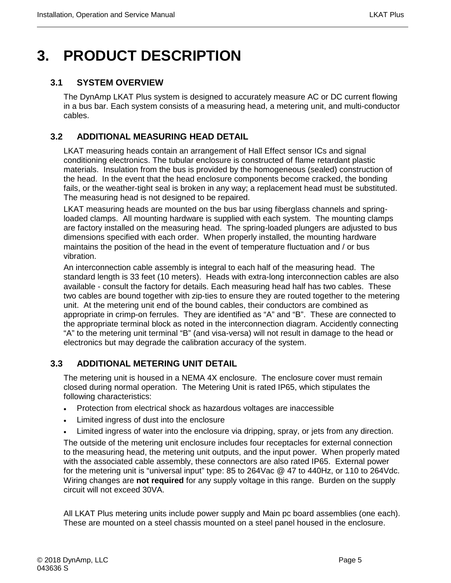# <span id="page-18-0"></span>**3. PRODUCT DESCRIPTION**

### <span id="page-18-1"></span>**3.1 SYSTEM OVERVIEW**

The DynAmp LKAT Plus system is designed to accurately measure AC or DC current flowing in a bus bar. Each system consists of a measuring head, a metering unit, and multi-conductor cables.

# <span id="page-18-2"></span>**3.2 ADDITIONAL MEASURING HEAD DETAIL**

LKAT measuring heads contain an arrangement of Hall Effect sensor ICs and signal conditioning electronics. The tubular enclosure is constructed of flame retardant plastic materials. Insulation from the bus is provided by the homogeneous (sealed) construction of the head. In the event that the head enclosure components become cracked, the bonding fails, or the weather-tight seal is broken in any way; a replacement head must be substituted. The measuring head is not designed to be repaired.

LKAT measuring heads are mounted on the bus bar using fiberglass channels and springloaded clamps. All mounting hardware is supplied with each system. The mounting clamps are factory installed on the measuring head. The spring-loaded plungers are adjusted to bus dimensions specified with each order. When properly installed, the mounting hardware maintains the position of the head in the event of temperature fluctuation and / or bus vibration.

An interconnection cable assembly is integral to each half of the measuring head. The standard length is 33 feet (10 meters). Heads with extra-long interconnection cables are also available - consult the factory for details. Each measuring head half has two cables. These two cables are bound together with zip-ties to ensure they are routed together to the metering unit. At the metering unit end of the bound cables, their conductors are combined as appropriate in crimp-on ferrules. They are identified as "A" and "B". These are connected to the appropriate terminal block as noted in the interconnection diagram. Accidently connecting "A" to the metering unit terminal "B" (and visa-versa) will not result in damage to the head or electronics but may degrade the calibration accuracy of the system.

# <span id="page-18-3"></span>**3.3 ADDITIONAL METERING UNIT DETAIL**

The metering unit is housed in a NEMA 4X enclosure. The enclosure cover must remain closed during normal operation. The Metering Unit is rated IP65, which stipulates the following characteristics:

- Protection from electrical shock as hazardous voltages are inaccessible
- Limited ingress of dust into the enclosure
- Limited ingress of water into the enclosure via dripping, spray, or jets from any direction.

The outside of the metering unit enclosure includes four receptacles for external connection to the measuring head, the metering unit outputs, and the input power. When properly mated with the associated cable assembly, these connectors are also rated IP65. External power for the metering unit is "universal input" type: 85 to 264Vac @ 47 to 440Hz, or 110 to 264Vdc. Wiring changes are **not required** for any supply voltage in this range. Burden on the supply circuit will not exceed 30VA.

All LKAT Plus metering units include power supply and Main pc board assemblies (one each). These are mounted on a steel chassis mounted on a steel panel housed in the enclosure.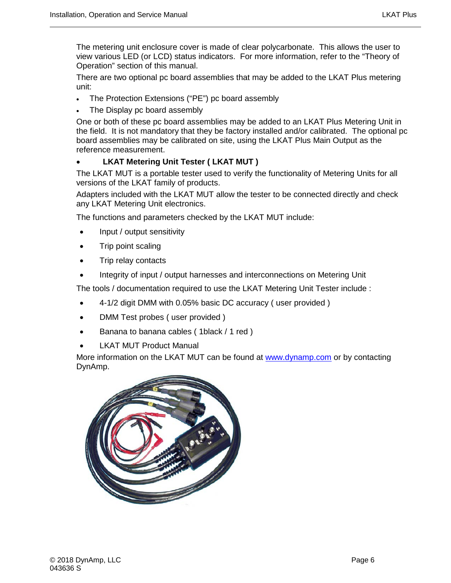The metering unit enclosure cover is made of clear polycarbonate. This allows the user to view various LED (or LCD) status indicators. For more information, refer to the "Theory of Operation" section of this manual.

There are two optional pc board assemblies that may be added to the LKAT Plus metering unit:

- The Protection Extensions ("PE") pc board assembly
- The Display pc board assembly

One or both of these pc board assemblies may be added to an LKAT Plus Metering Unit in the field. It is not mandatory that they be factory installed and/or calibrated. The optional pc board assemblies may be calibrated on site, using the LKAT Plus Main Output as the reference measurement.

#### • **LKAT Metering Unit Tester ( LKAT MUT )**

The LKAT MUT is a portable tester used to verify the functionality of Metering Units for all versions of the LKAT family of products.

Adapters included with the LKAT MUT allow the tester to be connected directly and check any LKAT Metering Unit electronics.

The functions and parameters checked by the LKAT MUT include:

- Input / output sensitivity
- Trip point scaling
- Trip relay contacts
- Integrity of input / output harnesses and interconnections on Metering Unit

The tools / documentation required to use the LKAT Metering Unit Tester include :

- 4-1/2 digit DMM with 0.05% basic DC accuracy ( user provided )
- DMM Test probes ( user provided )
- Banana to banana cables (1black / 1 red )
- LKAT MUT Product Manual

More information on the LKAT MUT can be found at [www.dynamp.com](http://www.dynamp.com/) or by contacting DynAmp.

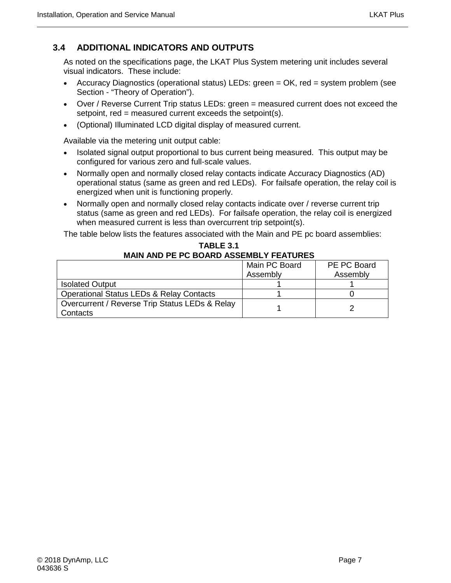# <span id="page-20-0"></span>**3.4 ADDITIONAL INDICATORS AND OUTPUTS**

As noted on the specifications page, the LKAT Plus System metering unit includes several visual indicators. These include:

- Accuracy Diagnostics (operational status) LEDs: green = OK, red = system problem (see Section - "Theory of Operation").
- Over / Reverse Current Trip status LEDs: green = measured current does not exceed the setpoint, red = measured current exceeds the setpoint(s).
- (Optional) Illuminated LCD digital display of measured current.

Available via the metering unit output cable:

- Isolated signal output proportional to bus current being measured. This output may be configured for various zero and full-scale values.
- Normally open and normally closed relay contacts indicate Accuracy Diagnostics (AD) operational status (same as green and red LEDs). For failsafe operation, the relay coil is energized when unit is functioning properly.
- Normally open and normally closed relay contacts indicate over / reverse current trip status (same as green and red LEDs). For failsafe operation, the relay coil is energized when measured current is less than overcurrent trip setpoint(s).

The table below lists the features associated with the Main and PE pc board assemblies:

<span id="page-20-1"></span>

| MAIN AND LET V DOAND AVOLMDET LEATVILLY             |               |             |  |  |
|-----------------------------------------------------|---------------|-------------|--|--|
|                                                     | Main PC Board | PE PC Board |  |  |
|                                                     | Assembly      | Assembly    |  |  |
| <b>Isolated Output</b>                              |               |             |  |  |
| <b>Operational Status LEDs &amp; Relay Contacts</b> |               |             |  |  |
| Overcurrent / Reverse Trip Status LEDs & Relay      |               |             |  |  |
| Contacts                                            |               |             |  |  |

#### **TABLE 3.1 MAIN AND PE PC BOARD ASSEMBLY FEATURES**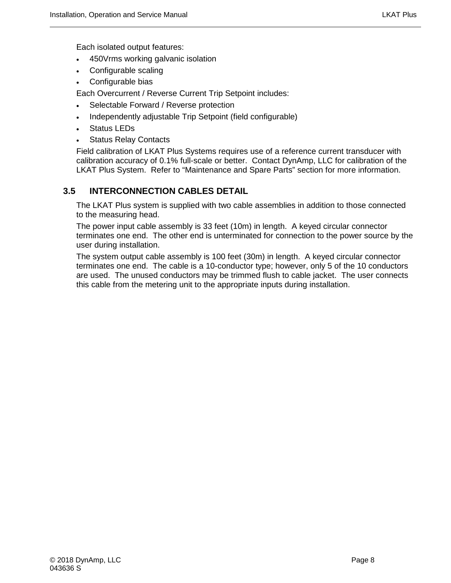Each isolated output features:

- 450Vrms working galvanic isolation
- Configurable scaling
- Configurable bias

Each Overcurrent / Reverse Current Trip Setpoint includes:

- Selectable Forward / Reverse protection
- Independently adjustable Trip Setpoint (field configurable)
- Status LEDs
- **Status Relay Contacts**

Field calibration of LKAT Plus Systems requires use of a reference current transducer with calibration accuracy of 0.1% full-scale or better. Contact DynAmp, LLC for calibration of the LKAT Plus System. Refer to "Maintenance and Spare Parts" section for more information.

# <span id="page-21-0"></span>**3.5 INTERCONNECTION CABLES DETAIL**

The LKAT Plus system is supplied with two cable assemblies in addition to those connected to the measuring head.

The power input cable assembly is 33 feet (10m) in length. A keyed circular connector terminates one end. The other end is unterminated for connection to the power source by the user during installation.

The system output cable assembly is 100 feet (30m) in length. A keyed circular connector terminates one end. The cable is a 10-conductor type; however, only 5 of the 10 conductors are used. The unused conductors may be trimmed flush to cable jacket. The user connects this cable from the metering unit to the appropriate inputs during installation.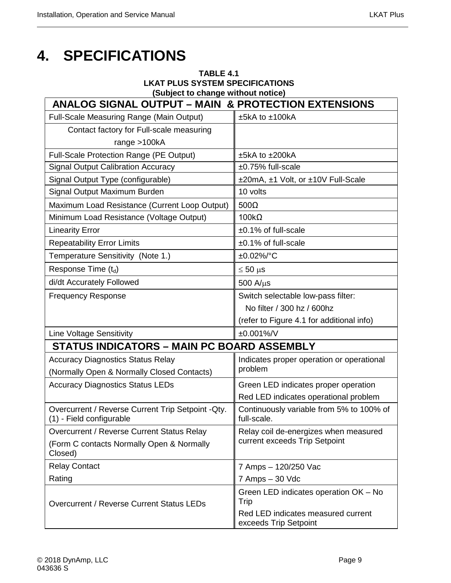# <span id="page-22-1"></span><span id="page-22-0"></span>**4. SPECIFICATIONS**

| TABLE 4.1                              |
|----------------------------------------|
| <b>LKAT PLUS SYSTEM SPECIFICATIONS</b> |
| (Subject to change without notice)     |

| <b>ANALOG SIGNAL OUTPUT - MAIN &amp; PROTECTION EXTENSIONS</b>                 |                                                             |  |  |
|--------------------------------------------------------------------------------|-------------------------------------------------------------|--|--|
| <b>Full-Scale Measuring Range (Main Output)</b>                                | $±5kA$ to $±100kA$                                          |  |  |
| Contact factory for Full-scale measuring                                       |                                                             |  |  |
| range $>100kA$                                                                 |                                                             |  |  |
| Full-Scale Protection Range (PE Output)                                        | ±5kA to ±200kA                                              |  |  |
| <b>Signal Output Calibration Accuracy</b>                                      | $±0.75\%$ full-scale                                        |  |  |
| Signal Output Type (configurable)                                              | ±20mA, ±1 Volt, or ±10V Full-Scale                          |  |  |
| Signal Output Maximum Burden                                                   | 10 volts                                                    |  |  |
| Maximum Load Resistance (Current Loop Output)                                  | $500\Omega$                                                 |  |  |
| Minimum Load Resistance (Voltage Output)                                       | $100k\Omega$                                                |  |  |
| <b>Linearity Error</b>                                                         | $±0.1\%$ of full-scale                                      |  |  |
| <b>Repeatability Error Limits</b>                                              | $±0.1\%$ of full-scale                                      |  |  |
| Temperature Sensitivity (Note 1.)                                              | $±0.02\%/°C$                                                |  |  |
| Response Time (td)                                                             | $\leq 50 \text{ }\mu\text{s}$                               |  |  |
| di/dt Accurately Followed                                                      | $500$ A/ $\mu$ s                                            |  |  |
| <b>Frequency Response</b>                                                      | Switch selectable low-pass filter:                          |  |  |
|                                                                                | No filter / 300 hz / 600hz                                  |  |  |
|                                                                                | (refer to Figure 4.1 for additional info)                   |  |  |
| <b>Line Voltage Sensitivity</b>                                                | ±0.001%/V                                                   |  |  |
| <b>STATUS INDICATORS - MAIN PC BOARD ASSEMBLY</b>                              |                                                             |  |  |
| <b>Accuracy Diagnostics Status Relay</b>                                       | Indicates proper operation or operational                   |  |  |
| (Normally Open & Normally Closed Contacts)                                     | problem                                                     |  |  |
| <b>Accuracy Diagnostics Status LEDs</b>                                        | Green LED indicates proper operation                        |  |  |
|                                                                                | Red LED indicates operational problem                       |  |  |
| Overcurrent / Reverse Current Trip Setpoint - Qty.<br>(1) - Field configurable | Continuously variable from 5% to 100% of<br>full-scale.     |  |  |
| Overcurrent / Reverse Current Status Relay                                     | Relay coil de-energizes when measured                       |  |  |
| (Form C contacts Normally Open & Normally<br>Closed)                           | current exceeds Trip Setpoint                               |  |  |
| <b>Relay Contact</b>                                                           | 7 Amps - 120/250 Vac                                        |  |  |
| Rating                                                                         | 7 Amps - 30 Vdc                                             |  |  |
| Overcurrent / Reverse Current Status LEDs                                      | Green LED indicates operation OK - No<br>Trip               |  |  |
|                                                                                | Red LED indicates measured current<br>exceeds Trip Setpoint |  |  |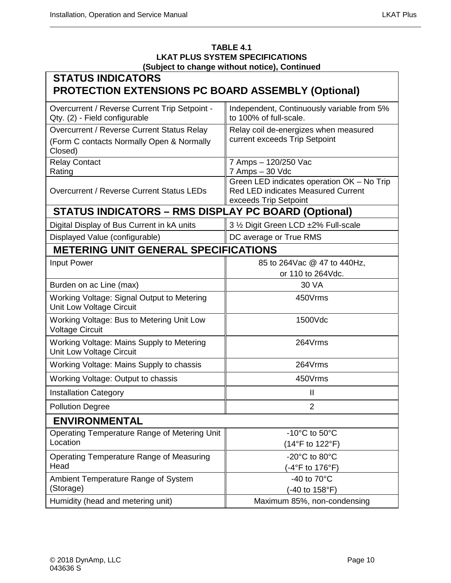#### **TABLE 4.1 LKAT PLUS SYSTEM SPECIFICATIONS (Subject to change without notice), Continued**

| <b>STATUS INDICATORS</b><br><b>PROTECTION EXTENSIONS PC BOARD ASSEMBLY (Optional)</b>              |                                                                                                                  |  |  |  |
|----------------------------------------------------------------------------------------------------|------------------------------------------------------------------------------------------------------------------|--|--|--|
| Overcurrent / Reverse Current Trip Setpoint -<br>Qty. (2) - Field configurable                     | Independent, Continuously variable from 5%<br>to 100% of full-scale.                                             |  |  |  |
| Overcurrent / Reverse Current Status Relay<br>(Form C contacts Normally Open & Normally<br>Closed) | Relay coil de-energizes when measured<br>current exceeds Trip Setpoint                                           |  |  |  |
| <b>Relay Contact</b><br>Rating                                                                     | 7 Amps - 120/250 Vac<br>7 Amps - 30 Vdc                                                                          |  |  |  |
| Overcurrent / Reverse Current Status LEDs                                                          | Green LED indicates operation OK - No Trip<br><b>Red LED indicates Measured Current</b><br>exceeds Trip Setpoint |  |  |  |
| <b>STATUS INDICATORS - RMS DISPLAY PC BOARD (Optional)</b>                                         |                                                                                                                  |  |  |  |
| Digital Display of Bus Current in kA units                                                         | 3 1/2 Digit Green LCD ±2% Full-scale                                                                             |  |  |  |
| Displayed Value (configurable)                                                                     | DC average or True RMS                                                                                           |  |  |  |
| <b>METERING UNIT GENERAL SPECIFICATIONS</b>                                                        |                                                                                                                  |  |  |  |
| Input Power                                                                                        | 85 to 264Vac @ 47 to 440Hz,<br>or 110 to 264Vdc.                                                                 |  |  |  |
| Burden on ac Line (max)                                                                            | 30 VA                                                                                                            |  |  |  |
| Working Voltage: Signal Output to Metering<br>Unit Low Voltage Circuit                             | 450Vrms                                                                                                          |  |  |  |
| Working Voltage: Bus to Metering Unit Low<br><b>Voltage Circuit</b>                                | 1500Vdc                                                                                                          |  |  |  |
| Working Voltage: Mains Supply to Metering<br>Unit Low Voltage Circuit                              | 264Vrms                                                                                                          |  |  |  |
| Working Voltage: Mains Supply to chassis                                                           | 264Vrms                                                                                                          |  |  |  |
| Working Voltage: Output to chassis                                                                 | 450Vrms                                                                                                          |  |  |  |
| <b>Installation Category</b>                                                                       | $\mathbf{I}$                                                                                                     |  |  |  |
| <b>Pollution Degree</b>                                                                            | $\overline{2}$                                                                                                   |  |  |  |
| <b>ENVIRONMENTAL</b>                                                                               |                                                                                                                  |  |  |  |
| Operating Temperature Range of Metering Unit<br>Location                                           | -10 $^{\circ}$ C to 50 $^{\circ}$ C<br>(14°F to 122°F)                                                           |  |  |  |
| Operating Temperature Range of Measuring<br>Head                                                   | -20°C to 80°C<br>(-4°F to 176°F)                                                                                 |  |  |  |
| Ambient Temperature Range of System<br>(Storage)                                                   | -40 to 70°C<br>(-40 to 158°F)                                                                                    |  |  |  |
| Humidity (head and metering unit)                                                                  | Maximum 85%, non-condensing                                                                                      |  |  |  |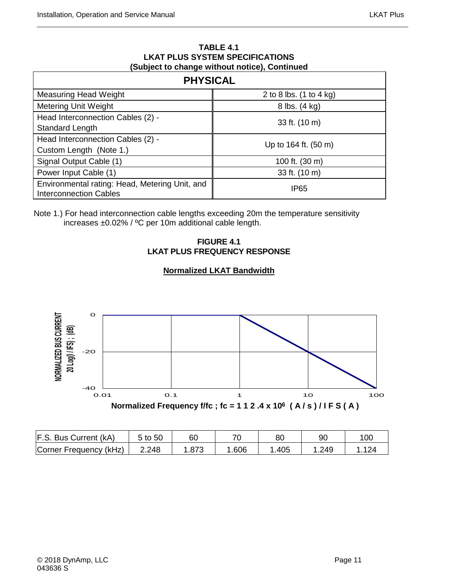#### **TABLE 4.1 LKAT PLUS SYSTEM SPECIFICATIONS (Subject to change without notice), Continued**

| <b>PHYSICAL</b>                                                                 |                         |  |  |  |
|---------------------------------------------------------------------------------|-------------------------|--|--|--|
| <b>Measuring Head Weight</b>                                                    | 2 to 8 lbs. (1 to 4 kg) |  |  |  |
| <b>Metering Unit Weight</b>                                                     | 8 lbs. (4 kg)           |  |  |  |
| Head Interconnection Cables (2) -                                               | 33 ft. (10 m)           |  |  |  |
| Standard Length                                                                 |                         |  |  |  |
| Head Interconnection Cables (2) -                                               | Up to 164 ft. (50 m)    |  |  |  |
| Custom Length (Note 1.)                                                         |                         |  |  |  |
| Signal Output Cable (1)                                                         | 100 ft. (30 m)          |  |  |  |
| Power Input Cable (1)                                                           | 33 ft. (10 m)           |  |  |  |
| Environmental rating: Head, Metering Unit, and<br><b>Interconnection Cables</b> | IP <sub>65</sub>        |  |  |  |

#### <span id="page-24-0"></span>Note 1.) For head interconnection cable lengths exceeding 20m the temperature sensitivity increases ±0.02% / ºC per 10m additional cable length.

#### **FIGURE 4.1 LKAT PLUS FREQUENCY RESPONSE**



### **Normalized LKAT Bandwidth**

| F.S. Bus Current (kA)  | 5 to 50 | 60   |      | 80   | 90   | 100 |
|------------------------|---------|------|------|------|------|-----|
| Corner Frequency (kHz) | 2.248   | .873 | .606 | .405 | .249 |     |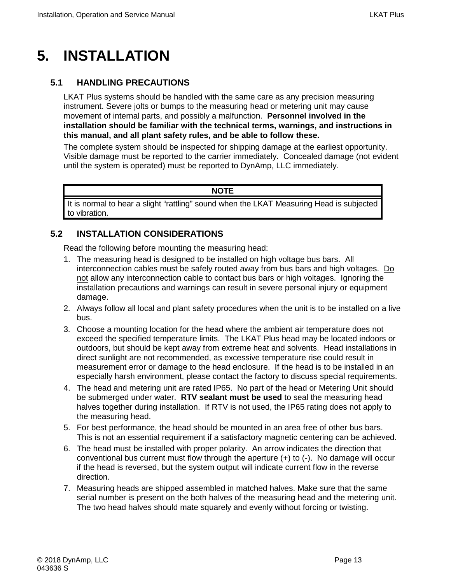# <span id="page-26-0"></span>**5. INSTALLATION**

# <span id="page-26-1"></span>**5.1 HANDLING PRECAUTIONS**

LKAT Plus systems should be handled with the same care as any precision measuring instrument. Severe jolts or bumps to the measuring head or metering unit may cause movement of internal parts, and possibly a malfunction. **Personnel involved in the installation should be familiar with the technical terms, warnings, and instructions in this manual, and all plant safety rules, and be able to follow these.**

The complete system should be inspected for shipping damage at the earliest opportunity. Visible damage must be reported to the carrier immediately. Concealed damage (not evident until the system is operated) must be reported to DynAmp, LLC immediately.

#### **NOTE**

It is normal to hear a slight "rattling" sound when the LKAT Measuring Head is subjected to vibration.

# <span id="page-26-2"></span>**5.2 INSTALLATION CONSIDERATIONS**

Read the following before mounting the measuring head:

- 1. The measuring head is designed to be installed on high voltage bus bars. All interconnection cables must be safely routed away from bus bars and high voltages. Do not allow any interconnection cable to contact bus bars or high voltages. Ignoring the installation precautions and warnings can result in severe personal injury or equipment damage.
- 2. Always follow all local and plant safety procedures when the unit is to be installed on a live bus.
- 3. Choose a mounting location for the head where the ambient air temperature does not exceed the specified temperature limits. The LKAT Plus head may be located indoors or outdoors, but should be kept away from extreme heat and solvents. Head installations in direct sunlight are not recommended, as excessive temperature rise could result in measurement error or damage to the head enclosure. If the head is to be installed in an especially harsh environment, please contact the factory to discuss special requirements.
- 4. The head and metering unit are rated IP65. No part of the head or Metering Unit should be submerged under water. **RTV sealant must be used** to seal the measuring head halves together during installation. If RTV is not used, the IP65 rating does not apply to the measuring head.
- 5. For best performance, the head should be mounted in an area free of other bus bars. This is not an essential requirement if a satisfactory magnetic centering can be achieved.
- 6. The head must be installed with proper polarity. An arrow indicates the direction that conventional bus current must flow through the aperture (+) to (-). No damage will occur if the head is reversed, but the system output will indicate current flow in the reverse direction.
- 7. Measuring heads are shipped assembled in matched halves. Make sure that the same serial number is present on the both halves of the measuring head and the metering unit. The two head halves should mate squarely and evenly without forcing or twisting.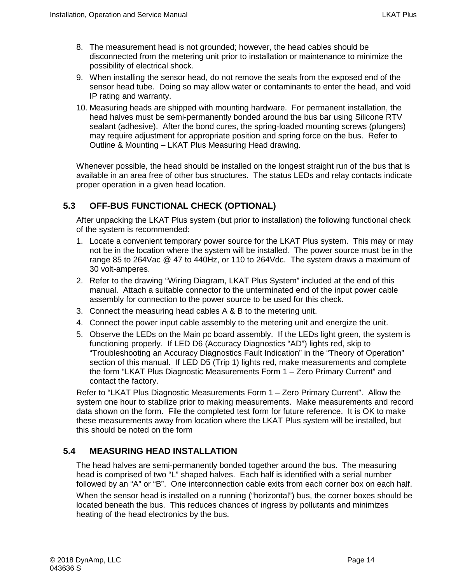- 8. The measurement head is not grounded; however, the head cables should be disconnected from the metering unit prior to installation or maintenance to minimize the possibility of electrical shock.
- 9. When installing the sensor head, do not remove the seals from the exposed end of the sensor head tube. Doing so may allow water or contaminants to enter the head, and void IP rating and warranty.
- 10. Measuring heads are shipped with mounting hardware. For permanent installation, the head halves must be semi-permanently bonded around the bus bar using Silicone RTV sealant (adhesive). After the bond cures, the spring-loaded mounting screws (plungers) may require adjustment for appropriate position and spring force on the bus. Refer to Outline & Mounting – LKAT Plus Measuring Head drawing.

Whenever possible, the head should be installed on the longest straight run of the bus that is available in an area free of other bus structures. The status LEDs and relay contacts indicate proper operation in a given head location.

# <span id="page-27-0"></span>**5.3 OFF-BUS FUNCTIONAL CHECK (OPTIONAL)**

After unpacking the LKAT Plus system (but prior to installation) the following functional check of the system is recommended:

- 1. Locate a convenient temporary power source for the LKAT Plus system. This may or may not be in the location where the system will be installed. The power source must be in the range 85 to 264Vac @ 47 to 440Hz, or 110 to 264Vdc. The system draws a maximum of 30 volt-amperes.
- 2. Refer to the drawing "Wiring Diagram, LKAT Plus System" included at the end of this manual. Attach a suitable connector to the unterminated end of the input power cable assembly for connection to the power source to be used for this check.
- 3. Connect the measuring head cables A & B to the metering unit.
- 4. Connect the power input cable assembly to the metering unit and energize the unit.
- 5. Observe the LEDs on the Main pc board assembly. If the LEDs light green, the system is functioning properly. If LED D6 (Accuracy Diagnostics "AD") lights red, skip to "Troubleshooting an Accuracy Diagnostics Fault Indication" in the "Theory of Operation" section of this manual. If LED D5 (Trip 1) lights red, make measurements and complete the form "LKAT Plus Diagnostic Measurements Form 1 – Zero Primary Current" and contact the factory.

Refer to "LKAT Plus Diagnostic Measurements Form 1 – Zero Primary Current". Allow the system one hour to stabilize prior to making measurements. Make measurements and record data shown on the form. File the completed test form for future reference. It is OK to make these measurements away from location where the LKAT Plus system will be installed, but this should be noted on the form

# <span id="page-27-1"></span>**5.4 MEASURING HEAD INSTALLATION**

The head halves are semi-permanently bonded together around the bus. The measuring head is comprised of two "L" shaped halves. Each half is identified with a serial number followed by an "A" or "B". One interconnection cable exits from each corner box on each half. When the sensor head is installed on a running ("horizontal") bus, the corner boxes should be located beneath the bus. This reduces chances of ingress by pollutants and minimizes heating of the head electronics by the bus.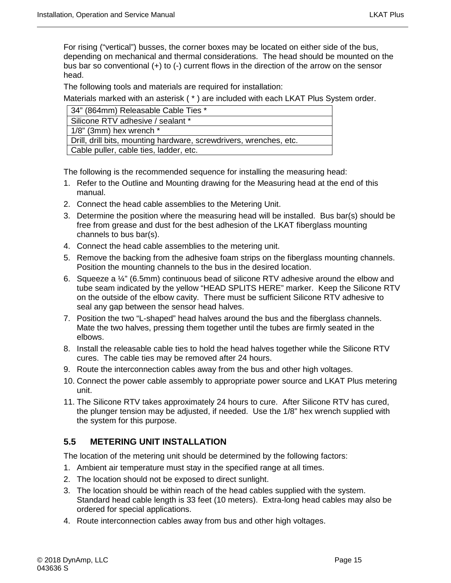For rising ("vertical") busses, the corner boxes may be located on either side of the bus, depending on mechanical and thermal considerations. The head should be mounted on the bus bar so conventional (+) to (-) current flows in the direction of the arrow on the sensor head.

The following tools and materials are required for installation:

Materials marked with an asterisk ( \* ) are included with each LKAT Plus System order.

| 34" (864mm) Releasable Cable Ties *                                |
|--------------------------------------------------------------------|
| Silicone RTV adhesive / sealant *                                  |
| $1/8$ " (3mm) hex wrench $*$                                       |
| Drill, drill bits, mounting hardware, screwdrivers, wrenches, etc. |
| Cable puller, cable ties, ladder, etc.                             |

The following is the recommended sequence for installing the measuring head:

- 1. Refer to the Outline and Mounting drawing for the Measuring head at the end of this manual.
- 2. Connect the head cable assemblies to the Metering Unit.
- 3. Determine the position where the measuring head will be installed. Bus bar(s) should be free from grease and dust for the best adhesion of the LKAT fiberglass mounting channels to bus bar(s).
- 4. Connect the head cable assemblies to the metering unit.
- 5. Remove the backing from the adhesive foam strips on the fiberglass mounting channels. Position the mounting channels to the bus in the desired location.
- 6. Squeeze a ¼" (6.5mm) continuous bead of silicone RTV adhesive around the elbow and tube seam indicated by the yellow "HEAD SPLITS HERE" marker. Keep the Silicone RTV on the outside of the elbow cavity. There must be sufficient Silicone RTV adhesive to seal any gap between the sensor head halves.
- 7. Position the two "L-shaped" head halves around the bus and the fiberglass channels. Mate the two halves, pressing them together until the tubes are firmly seated in the elbows.
- 8. Install the releasable cable ties to hold the head halves together while the Silicone RTV cures. The cable ties may be removed after 24 hours.
- 9. Route the interconnection cables away from the bus and other high voltages.
- 10. Connect the power cable assembly to appropriate power source and LKAT Plus metering unit.
- 11. The Silicone RTV takes approximately 24 hours to cure. After Silicone RTV has cured, the plunger tension may be adjusted, if needed. Use the 1/8" hex wrench supplied with the system for this purpose.

#### <span id="page-28-0"></span>**5.5 METERING UNIT INSTALLATION**

The location of the metering unit should be determined by the following factors:

- 1. Ambient air temperature must stay in the specified range at all times.
- 2. The location should not be exposed to direct sunlight.
- 3. The location should be within reach of the head cables supplied with the system. Standard head cable length is 33 feet (10 meters). Extra-long head cables may also be ordered for special applications.
- 4. Route interconnection cables away from bus and other high voltages.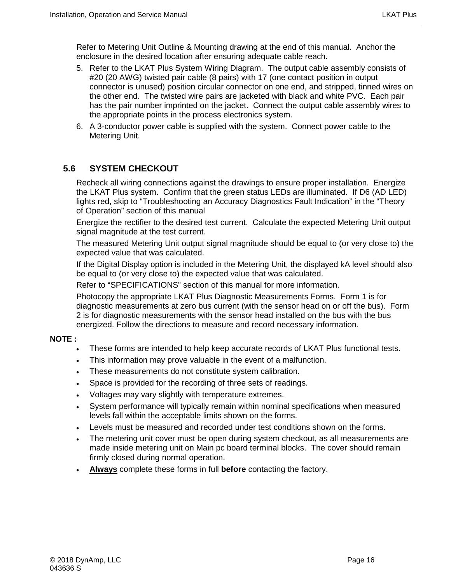Refer to Metering Unit Outline & Mounting drawing at the end of this manual. Anchor the enclosure in the desired location after ensuring adequate cable reach.

- 5. Refer to the LKAT Plus System Wiring Diagram. The output cable assembly consists of #20 (20 AWG) twisted pair cable (8 pairs) with 17 (one contact position in output connector is unused) position circular connector on one end, and stripped, tinned wires on the other end. The twisted wire pairs are jacketed with black and white PVC. Each pair has the pair number imprinted on the jacket. Connect the output cable assembly wires to the appropriate points in the process electronics system.
- 6. A 3-conductor power cable is supplied with the system. Connect power cable to the Metering Unit.

# <span id="page-29-0"></span>**5.6 SYSTEM CHECKOUT**

Recheck all wiring connections against the drawings to ensure proper installation. Energize the LKAT Plus system. Confirm that the green status LEDs are illuminated. If D6 (AD LED) lights red, skip to "Troubleshooting an Accuracy Diagnostics Fault Indication" in the "Theory of Operation" section of this manual

Energize the rectifier to the desired test current. Calculate the expected Metering Unit output signal magnitude at the test current.

The measured Metering Unit output signal magnitude should be equal to (or very close to) the expected value that was calculated.

If the Digital Display option is included in the Metering Unit, the displayed kA level should also be equal to (or very close to) the expected value that was calculated.

Refer to "SPECIFICATIONS" section of this manual for more information.

Photocopy the appropriate LKAT Plus Diagnostic Measurements Forms. Form 1 is for diagnostic measurements at zero bus current (with the sensor head on or off the bus). Form 2 is for diagnostic measurements with the sensor head installed on the bus with the bus energized. Follow the directions to measure and record necessary information.

#### **NOTE :**

- These forms are intended to help keep accurate records of LKAT Plus functional tests.
- This information may prove valuable in the event of a malfunction.
- These measurements do not constitute system calibration.
- Space is provided for the recording of three sets of readings.
- Voltages may vary slightly with temperature extremes.
- System performance will typically remain within nominal specifications when measured levels fall within the acceptable limits shown on the forms.
- Levels must be measured and recorded under test conditions shown on the forms.
- The metering unit cover must be open during system checkout, as all measurements are made inside metering unit on Main pc board terminal blocks. The cover should remain firmly closed during normal operation.
- **Always** complete these forms in full **before** contacting the factory.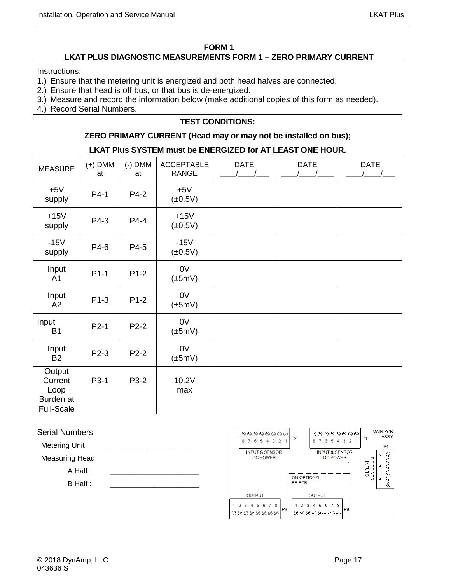#### **FORM 1**

#### **LKAT PLUS DIAGNOSTIC MEASUREMENTS FORM 1 – ZERO PRIMARY CURRENT**

<span id="page-30-0"></span>Instructions:

- 1.) Ensure that the metering unit is energized and both head halves are connected.
- 2.) Ensure that head is off bus, or that bus is de-energized.
- 3.) Measure and record the information below (make additional copies of this form as needed).
- 4.) Record Serial Numbers.

#### **TEST CONDITIONS:**

#### **ZERO PRIMARY CURRENT (Head may or may not be installed on bus);**

#### **LKAT Plus SYSTEM must be ENERGIZED for AT LEAST ONE HOUR.**

| <b>MEASURE</b>                                              | $(+)$ DMM<br>at | $(-)$ DMM<br>at | <b>ACCEPTABLE</b><br><b>RANGE</b> | <b>DATE</b> | <b>DATE</b> | <b>DATE</b> |
|-------------------------------------------------------------|-----------------|-----------------|-----------------------------------|-------------|-------------|-------------|
| $+5V$<br>supply                                             | P4-1            | P4-2            | $+5V$<br>$(\pm 0.5V)$             |             |             |             |
| $+15V$<br>supply                                            | P4-3            | P4-4            | $+15V$<br>$(\pm 0.5V)$            |             |             |             |
| $-15V$<br>supply                                            | P4-6            | P4-5            | $-15V$<br>$(\pm 0.5V)$            |             |             |             |
| Input<br>A <sub>1</sub>                                     | $P1-1$          | $P1-2$          | 0V<br>$(\pm 5mV)$                 |             |             |             |
| Input<br>A2                                                 | $P1-3$          | $P1-2$          | 0V<br>$(\pm 5mV)$                 |             |             |             |
| Input<br><b>B1</b>                                          | $P2-1$          | $P2-2$          | 0V<br>$(\pm 5mV)$                 |             |             |             |
| Input<br><b>B2</b>                                          | P2-3            | $P2-2$          | 0V<br>$(\pm 5mV)$                 |             |             |             |
| Output<br>Current<br>Loop<br>Burden at<br><b>Full-Scale</b> | P3-1            | P3-2            | 10.2V<br>max                      |             |             |             |

Serial Numbers :

Metering Unit

Measuring Head

 $A$  Half :

 $B$  Half :

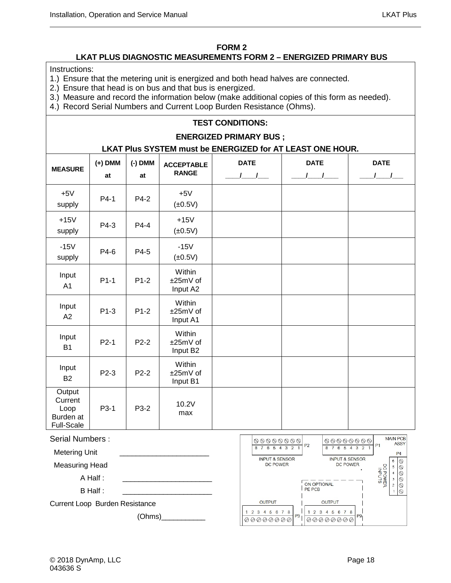#### **FORM 2**

#### **LKAT PLUS DIAGNOSTIC MEASUREMENTS FORM 2 – ENERGIZED PRIMARY BUS**

<span id="page-31-0"></span>Instructions:

- 1.) Ensure that the metering unit is energized and both head halves are connected.
- 2.) Ensure that head is on bus and that bus is energized.
- 3.) Measure and record the information below (make additional copies of this form as needed).
- 4.) Record Serial Numbers and Current Loop Burden Resistance (Ohms).

#### **TEST CONDITIONS:**

#### **ENERGIZED PRIMARY BUS ;**

#### **LKAT Plus SYSTEM must be ENERGIZED for AT LEAST ONE HOUR.**

| <b>MEASURE</b>                                              | $(+)$ DMM<br>at | $(-)$ DMM<br>at | <b>ACCEPTABLE</b><br><b>RANGE</b> | <b>DATE</b><br>$\frac{1}{2}$ | <b>DATE</b><br>$\sqrt{1}$ | <b>DATE</b><br>$\sqrt{ }$ |
|-------------------------------------------------------------|-----------------|-----------------|-----------------------------------|------------------------------|---------------------------|---------------------------|
| $+5V$<br>supply                                             | $P4-1$          | P4-2            | $+5V$<br>$(\pm 0.5V)$             |                              |                           |                           |
| $+15V$<br>supply                                            | P4-3            | $P4-4$          | $+15V$<br>$(\pm 0.5V)$            |                              |                           |                           |
| $-15V$<br>supply                                            | P4-6            | P4-5            | $-15V$<br>$(\pm 0.5V)$            |                              |                           |                           |
| Input<br>A <sub>1</sub>                                     | $P1-1$          | $P1-2$          | Within<br>±25mV of<br>Input A2    |                              |                           |                           |
| Input<br>A2                                                 | $P1-3$          | $P1-2$          | Within<br>±25mV of<br>Input A1    |                              |                           |                           |
| Input<br><b>B1</b>                                          | $P2-1$          | $P2-2$          | Within<br>±25mV of<br>Input B2    |                              |                           |                           |
| Input<br><b>B2</b>                                          | P2-3            | $P2-2$          | Within<br>±25mV of<br>Input B1    |                              |                           |                           |
| Output<br>Current<br>Loop<br>Burden at<br><b>Full-Scale</b> | P3-1            | P3-2            | 10.2V<br>max                      |                              |                           |                           |

| Serial Numbers :               |  |  |
|--------------------------------|--|--|
| <b>Metering Unit</b>           |  |  |
| <b>Measuring Head</b>          |  |  |
| $A$ Half :                     |  |  |
| B Half :                       |  |  |
| Current Loop Burden Resistance |  |  |

(Ohms)\_\_\_\_\_\_\_\_\_\_\_

MAIN PCB 00000000 00000000 **ASSY** P<sub>2</sub> D<sub>1</sub> 8 7 6 5 4 3 2 1 8 7 6 5 4 3 2  $P<sub>4</sub>$ **INPUT & SENSOR INPUT & SENSOR**  $\overline{6}$  $\textcircled{\tiny{\#}} \textcircled{\tiny{\#}} \textcircled{\tiny{\#}} \textcircled{\tiny{\#}} \textcircled{\tiny{\#}}$ DC POWER<br>INPUTS DC POWER DC POWER  $\overline{5}$  $\overline{4}$  $\overline{\mathbf{3}}$ ON OPTIONAL  $\overline{2}$ PE PCB **OUTPUT OUTPUT** 1 2 3 4 5 6 7 8 1 2 3 4 5 6 7 8 P<sub>3</sub> P9 00000000 00000000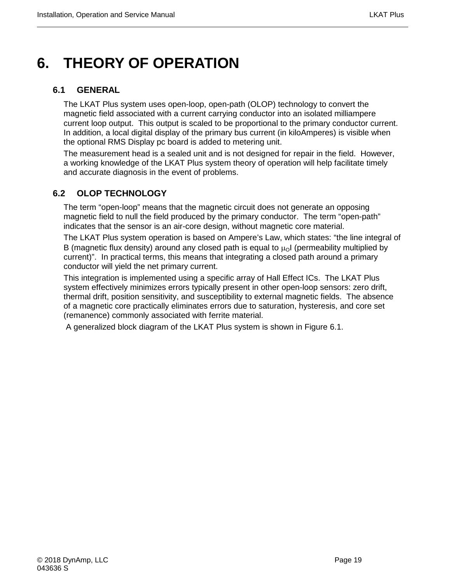# <span id="page-32-0"></span>**6. THEORY OF OPERATION**

### <span id="page-32-1"></span>**6.1 GENERAL**

The LKAT Plus system uses open-loop, open-path (OLOP) technology to convert the magnetic field associated with a current carrying conductor into an isolated milliampere current loop output. This output is scaled to be proportional to the primary conductor current. In addition, a local digital display of the primary bus current (in kiloAmperes) is visible when the optional RMS Display pc board is added to metering unit.

The measurement head is a sealed unit and is not designed for repair in the field. However, a working knowledge of the LKAT Plus system theory of operation will help facilitate timely and accurate diagnosis in the event of problems.

# <span id="page-32-2"></span>**6.2 OLOP TECHNOLOGY**

The term "open-loop" means that the magnetic circuit does not generate an opposing magnetic field to null the field produced by the primary conductor. The term "open-path" indicates that the sensor is an air-core design, without magnetic core material.

The LKAT Plus system operation is based on Ampere's Law, which states: "the line integral of B (magnetic flux density) around any closed path is equal to  $\mu_0$  (permeability multiplied by current)". In practical terms, this means that integrating a closed path around a primary conductor will yield the net primary current.

This integration is implemented using a specific array of Hall Effect ICs. The LKAT Plus system effectively minimizes errors typically present in other open-loop sensors: zero drift, thermal drift, position sensitivity, and susceptibility to external magnetic fields. The absence of a magnetic core practically eliminates errors due to saturation, hysteresis, and core set (remanence) commonly associated with ferrite material.

A generalized block diagram of the LKAT Plus system is shown in Figure 6.1.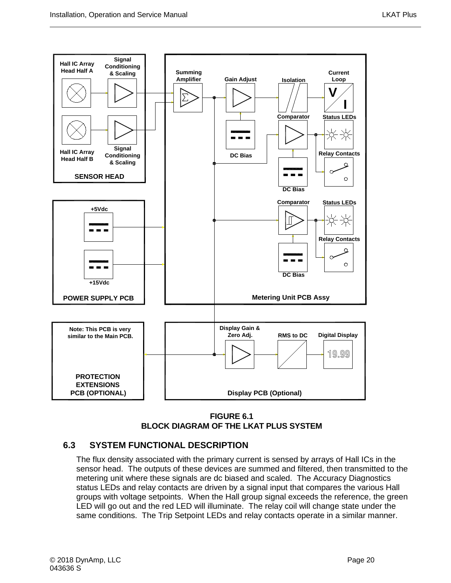

**FIGURE 6.1 BLOCK DIAGRAM OF THE LKAT PLUS SYSTEM**

# <span id="page-33-1"></span><span id="page-33-0"></span>**6.3 SYSTEM FUNCTIONAL DESCRIPTION**

The flux density associated with the primary current is sensed by arrays of Hall ICs in the sensor head. The outputs of these devices are summed and filtered, then transmitted to the metering unit where these signals are dc biased and scaled. The Accuracy Diagnostics status LEDs and relay contacts are driven by a signal input that compares the various Hall groups with voltage setpoints. When the Hall group signal exceeds the reference, the green LED will go out and the red LED will illuminate. The relay coil will change state under the same conditions. The Trip Setpoint LEDs and relay contacts operate in a similar manner.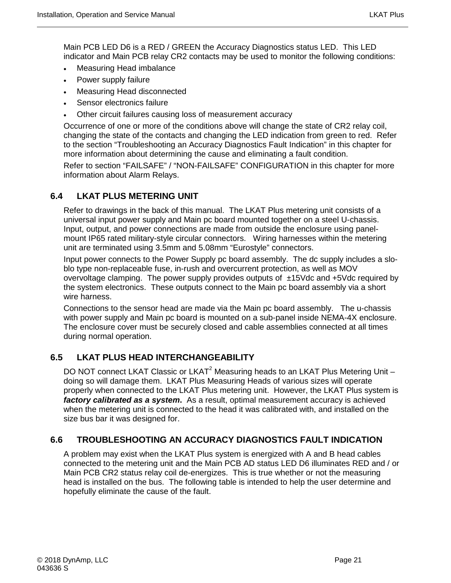Main PCB LED D6 is a RED / GREEN the Accuracy Diagnostics status LED. This LED indicator and Main PCB relay CR2 contacts may be used to monitor the following conditions:

- Measuring Head imbalance
- Power supply failure
- Measuring Head disconnected
- Sensor electronics failure
- Other circuit failures causing loss of measurement accuracy

Occurrence of one or more of the conditions above will change the state of CR2 relay coil, changing the state of the contacts and changing the LED indication from green to red. Refer to the section "Troubleshooting an Accuracy Diagnostics Fault Indication" in this chapter for more information about determining the cause and eliminating a fault condition.

Refer to section "FAILSAFE" / "NON-FAILSAFE" CONFIGURATION in this chapter for more information about Alarm Relays.

# <span id="page-34-0"></span>**6.4 LKAT PLUS METERING UNIT**

Refer to drawings in the back of this manual. The LKAT Plus metering unit consists of a universal input power supply and Main pc board mounted together on a steel U-chassis. Input, output, and power connections are made from outside the enclosure using panelmount IP65 rated military-style circular connectors. Wiring harnesses within the metering unit are terminated using 3.5mm and 5.08mm "Eurostyle" connectors.

Input power connects to the Power Supply pc board assembly. The dc supply includes a sloblo type non-replaceable fuse, in-rush and overcurrent protection, as well as MOV overvoltage clamping. The power supply provides outputs of  $\pm$ 15Vdc and +5Vdc required by the system electronics. These outputs connect to the Main pc board assembly via a short wire harness.

Connections to the sensor head are made via the Main pc board assembly. The u-chassis with power supply and Main pc board is mounted on a sub-panel inside NEMA-4X enclosure. The enclosure cover must be securely closed and cable assemblies connected at all times during normal operation.

# <span id="page-34-1"></span>**6.5 LKAT PLUS HEAD INTERCHANGEABILITY**

DO NOT connect LKAT Classic or LKAT<sup>2</sup> Measuring heads to an LKAT Plus Metering Unit  $$ doing so will damage them. LKAT Plus Measuring Heads of various sizes will operate properly when connected to the LKAT Plus metering unit. However, the LKAT Plus system is *factory calibrated as a system***.** As a result, optimal measurement accuracy is achieved when the metering unit is connected to the head it was calibrated with, and installed on the size bus bar it was designed for.

# <span id="page-34-2"></span>**6.6 TROUBLESHOOTING AN ACCURACY DIAGNOSTICS FAULT INDICATION**

A problem may exist when the LKAT Plus system is energized with A and B head cables connected to the metering unit and the Main PCB AD status LED D6 illuminates RED and / or Main PCB CR2 status relay coil de-energizes. This is true whether or not the measuring head is installed on the bus. The following table is intended to help the user determine and hopefully eliminate the cause of the fault.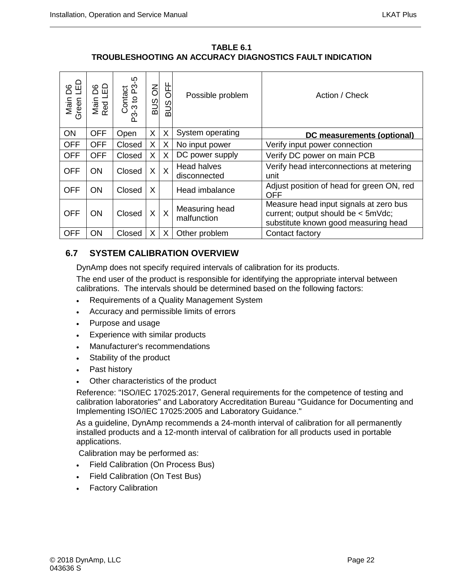**TABLE 6.1 TROUBLESHOOTING AN ACCURACY DIAGNOSTICS FAULT INDICATION** 

<span id="page-35-1"></span>

| G<br>90<br>Main<br>Green | 답<br>80<br>Main I<br>Red Ll | Contact<br>5-3 to P3-5<br>ကိ | 징<br>$rac{1}{2}$ | H<br>OFF<br>SUB | Possible problem                   | Action / Check                                                                                                       |
|--------------------------|-----------------------------|------------------------------|------------------|-----------------|------------------------------------|----------------------------------------------------------------------------------------------------------------------|
| ON                       | <b>OFF</b>                  | Open                         | X                | X               | System operating                   | DC measurements (optional)                                                                                           |
| <b>OFF</b>               | <b>OFF</b>                  | Closed                       | X                | X               | No input power                     | Verify input power connection                                                                                        |
| <b>OFF</b>               | <b>OFF</b>                  | Closed                       | X                | X               | DC power supply                    | Verify DC power on main PCB                                                                                          |
| <b>OFF</b>               | <b>ON</b>                   | Closed                       | X                | X               | <b>Head halves</b><br>disconnected | Verify head interconnections at metering<br>unit                                                                     |
| <b>OFF</b>               | ON.                         | Closed                       | X                |                 | Head imbalance                     | Adjust position of head for green ON, red<br>OFF                                                                     |
| <b>OFF</b>               | ON                          | Closed                       | X                | X               | Measuring head<br>malfunction      | Measure head input signals at zero bus<br>current; output should be < 5mVdc;<br>substitute known good measuring head |
| <b>OFF</b>               | ON                          | Closed                       | X                | X               | Other problem                      | Contact factory                                                                                                      |

# <span id="page-35-0"></span>**6.7 SYSTEM CALIBRATION OVERVIEW**

DynAmp does not specify required intervals of calibration for its products.

The end user of the product is responsible for identifying the appropriate interval between calibrations. The intervals should be determined based on the following factors:

- Requirements of a Quality Management System
- Accuracy and permissible limits of errors
- Purpose and usage
- Experience with similar products
- Manufacturer's recommendations
- Stability of the product
- Past history
- Other characteristics of the product

Reference: "ISO/IEC 17025:2017, General requirements for the competence of testing and calibration laboratories" and Laboratory Accreditation Bureau "Guidance for Documenting and Implementing ISO/IEC 17025:2005 and Laboratory Guidance."

As a guideline, DynAmp recommends a 24-month interval of calibration for all permanently installed products and a 12-month interval of calibration for all products used in portable applications.

Calibration may be performed as:

- Field Calibration (On Process Bus)
- Field Calibration (On Test Bus)
- Factory Calibration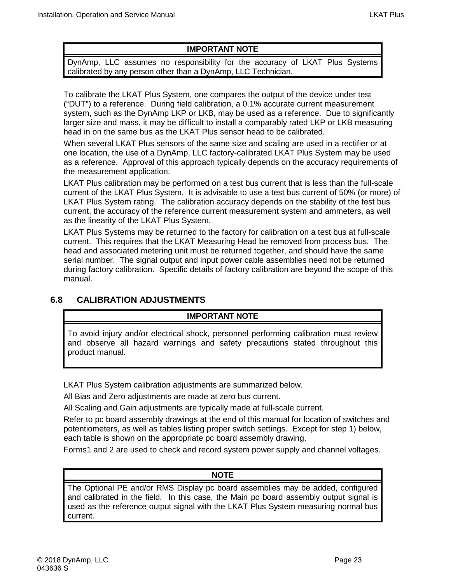#### **IMPORTANT NOTE**

DynAmp, LLC assumes no responsibility for the accuracy of LKAT Plus Systems calibrated by any person other than a DynAmp, LLC Technician.

To calibrate the LKAT Plus System, one compares the output of the device under test ("DUT") to a reference. During field calibration, a 0.1% accurate current measurement system, such as the DynAmp LKP or LKB, may be used as a reference. Due to significantly larger size and mass, it may be difficult to install a comparably rated LKP or LKB measuring head in on the same bus as the LKAT Plus sensor head to be calibrated.

When several LKAT Plus sensors of the same size and scaling are used in a rectifier or at one location, the use of a DynAmp, LLC factory-calibrated LKAT Plus System may be used as a reference. Approval of this approach typically depends on the accuracy requirements of the measurement application.

LKAT Plus calibration may be performed on a test bus current that is less than the full-scale current of the LKAT Plus System. It is advisable to use a test bus current of 50% (or more) of LKAT Plus System rating. The calibration accuracy depends on the stability of the test bus current, the accuracy of the reference current measurement system and ammeters, as well as the linearity of the LKAT Plus System.

LKAT Plus Systems may be returned to the factory for calibration on a test bus at full-scale current. This requires that the LKAT Measuring Head be removed from process bus. The head and associated metering unit must be returned together, and should have the same serial number. The signal output and input power cable assemblies need not be returned during factory calibration. Specific details of factory calibration are beyond the scope of this manual.

# <span id="page-36-0"></span>**6.8 CALIBRATION ADJUSTMENTS**

#### **IMPORTANT NOTE**

To avoid injury and/or electrical shock, personnel performing calibration must review and observe all hazard warnings and safety precautions stated throughout this product manual.

LKAT Plus System calibration adjustments are summarized below.

All Bias and Zero adjustments are made at zero bus current.

All Scaling and Gain adjustments are typically made at full-scale current.

Refer to pc board assembly drawings at the end of this manual for location of switches and potentiometers, as well as tables listing proper switch settings. Except for step 1) below, each table is shown on the appropriate pc board assembly drawing.

Forms1 and 2 are used to check and record system power supply and channel voltages.

#### **NOTE**

The Optional PE and/or RMS Display pc board assemblies may be added, configured and calibrated in the field. In this case, the Main pc board assembly output signal is used as the reference output signal with the LKAT Plus System measuring normal bus current.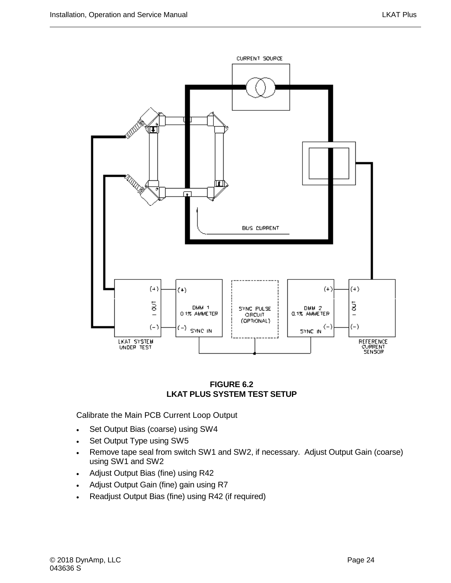

#### **FIGURE 6.2 LKAT PLUS SYSTEM TEST SETUP**

<span id="page-37-0"></span>Calibrate the Main PCB Current Loop Output

- Set Output Bias (coarse) using SW4
- Set Output Type using SW5
- Remove tape seal from switch SW1 and SW2, if necessary. Adjust Output Gain (coarse) using SW1 and SW2
- Adjust Output Bias (fine) using R42
- Adjust Output Gain (fine) gain using R7
- Readjust Output Bias (fine) using R42 (if required)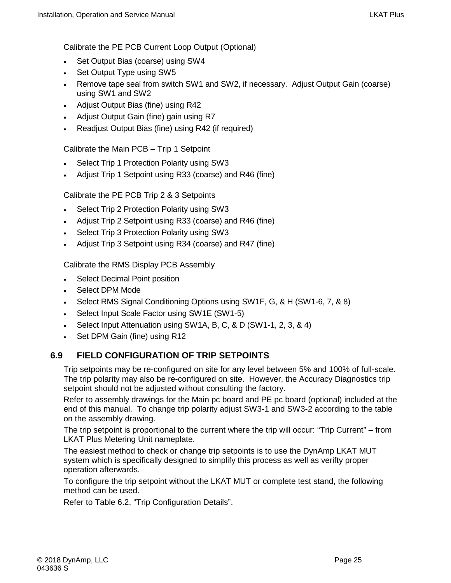Calibrate the PE PCB Current Loop Output (Optional)

- Set Output Bias (coarse) using SW4
- Set Output Type using SW5
- Remove tape seal from switch SW1 and SW2, if necessary. Adjust Output Gain (coarse) using SW1 and SW2
- Adjust Output Bias (fine) using R42
- Adjust Output Gain (fine) gain using R7
- Readjust Output Bias (fine) using R42 (if required)

Calibrate the Main PCB – Trip 1 Setpoint

- Select Trip 1 Protection Polarity using SW3
- Adjust Trip 1 Setpoint using R33 (coarse) and R46 (fine)

Calibrate the PE PCB Trip 2 & 3 Setpoints

- Select Trip 2 Protection Polarity using SW3
- Adjust Trip 2 Setpoint using R33 (coarse) and R46 (fine)
- Select Trip 3 Protection Polarity using SW3
- Adjust Trip 3 Setpoint using R34 (coarse) and R47 (fine)

Calibrate the RMS Display PCB Assembly

- Select Decimal Point position
- Select DPM Mode
- Select RMS Signal Conditioning Options using SW1F, G, & H (SW1-6, 7, & 8)
- Select Input Scale Factor using SW1E (SW1-5)
- Select Input Attenuation using SW1A, B, C, & D (SW1-1, 2, 3, & 4)
- Set DPM Gain (fine) using R12

#### <span id="page-38-0"></span>**6.9 FIELD CONFIGURATION OF TRIP SETPOINTS**

Trip setpoints may be re-configured on site for any level between 5% and 100% of full-scale. The trip polarity may also be re-configured on site. However, the Accuracy Diagnostics trip setpoint should not be adjusted without consulting the factory.

Refer to assembly drawings for the Main pc board and PE pc board (optional) included at the end of this manual. To change trip polarity adjust SW3-1 and SW3-2 according to the table on the assembly drawing.

The trip setpoint is proportional to the current where the trip will occur: "Trip Current" – from LKAT Plus Metering Unit nameplate.

The easiest method to check or change trip setpoints is to use the DynAmp LKAT MUT system which is specifically designed to simplify this process as well as verifty proper operation afterwards.

To configure the trip setpoint without the LKAT MUT or complete test stand, the following method can be used.

Refer to Table 6.2, "Trip Configuration Details".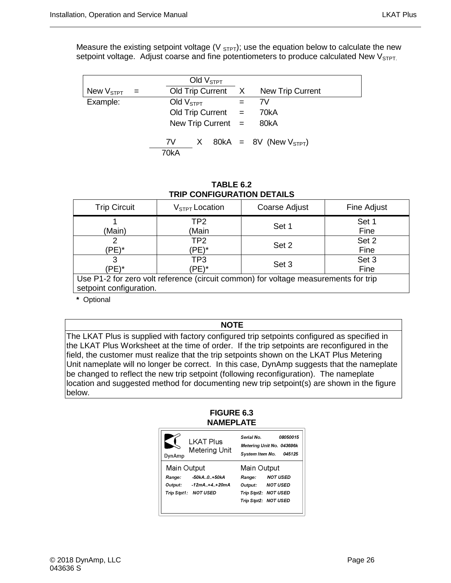Measure the existing setpoint voltage ( $V_{\text{STPT}}$ ); use the equation below to calculate the new setpoint voltage. Adjust coarse and fine potentiometers to produce calculated New VSTPT.

|                       |     |             | Old $V_{\text{STPT}}$ |                      |                                 |
|-----------------------|-----|-------------|-----------------------|----------------------|---------------------------------|
| New V <sub>STPT</sub> | $=$ |             |                       | Old Trip Current X   | <b>New Trip Current</b>         |
| Example:              |     | Old $VSTPT$ |                       |                      | 7V                              |
|                       |     |             |                       | Old Trip Current $=$ | 70kA                            |
|                       |     |             |                       | New Trip Current $=$ | 80kA                            |
|                       |     | 7V -        |                       |                      | $X$ 80kA = 8V (New $V_{STPT}$ ) |
|                       |     | 70kA        |                       |                      |                                 |

**TABLE 6.2 TRIP CONFIGURATION DETAILS** 

<span id="page-39-1"></span>

| <b>Trip Circuit</b>                                                                                            | $V_{STPT}$ Location | Coarse Adjust | Fine Adjust   |  |  |  |  |
|----------------------------------------------------------------------------------------------------------------|---------------------|---------------|---------------|--|--|--|--|
| (Main)                                                                                                         | TP2<br>(Main        | Set 1         | Set 1<br>Fine |  |  |  |  |
| (PE)*                                                                                                          | TP2<br>(PE)*        | Set 2         | Set 2<br>Fine |  |  |  |  |
| 'PE)*                                                                                                          | TP3<br>'PE)*        | Set 3         | Set 3<br>Fine |  |  |  |  |
| Use P1-2 for zero volt reference (circuit common) for voltage measurements for trip<br>setpoint configuration. |                     |               |               |  |  |  |  |

**\*** Optional

**NOTE**

<span id="page-39-0"></span>The LKAT Plus is supplied with factory configured trip setpoints configured as specified in the LKAT Plus Worksheet at the time of order. If the trip setpoints are reconfigured in the field, the customer must realize that the trip setpoints shown on the LKAT Plus Metering Unit nameplate will no longer be correct. In this case, DynAmp suggests that the nameplate be changed to reflect the new trip setpoint (following reconfiguration). The nameplate location and suggested method for documenting new trip setpoint(s) are shown in the figure below.

#### **FIGURE 6.3 NAMEPLATE**

| DynAmp                   | <b>LKAT Plus</b><br>Metering Unit | Serial No.<br>08050015<br>Metering Unit No. 043696k<br>System Item No.<br>045125 |
|--------------------------|-----------------------------------|----------------------------------------------------------------------------------|
| Main Output              |                                   | Main Output                                                                      |
| Range:<br><b>Output:</b> | -50kA0+50kA<br>$-12mA + 4 + 20mA$ | <b>NOT USED</b><br>Range:<br><b>NOT USED</b><br>Output:                          |
|                          | Trip Stpt1: NOT USED              | Trip Stpt2: NOT USED<br>Trip Stpt2: NOT USED                                     |

╜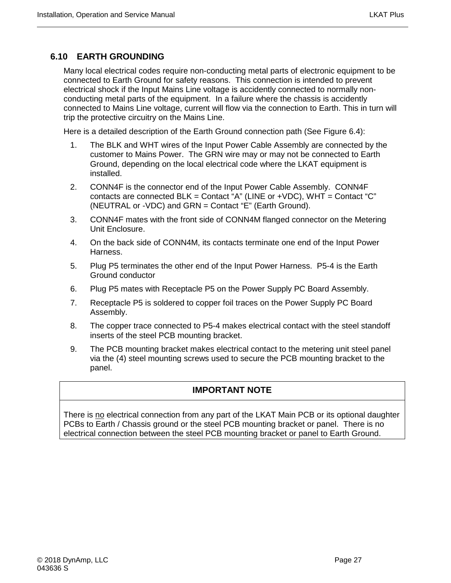# <span id="page-40-0"></span>**6.10 EARTH GROUNDING**

Many local electrical codes require non-conducting metal parts of electronic equipment to be connected to Earth Ground for safety reasons. This connection is intended to prevent electrical shock if the Input Mains Line voltage is accidently connected to normally nonconducting metal parts of the equipment. In a failure where the chassis is accidently connected to Mains Line voltage, current will flow via the connection to Earth. This in turn will trip the protective circuitry on the Mains Line.

Here is a detailed description of the Earth Ground connection path (See Figure 6.4):

- 1. The BLK and WHT wires of the Input Power Cable Assembly are connected by the customer to Mains Power. The GRN wire may or may not be connected to Earth Ground, depending on the local electrical code where the LKAT equipment is installed.
- 2. CONN4F is the connector end of the Input Power Cable Assembly. CONN4F contacts are connected  $BLK =$  Contact "A" (LINE or  $+VDC$ ), WHT = Contact "C" (NEUTRAL or -VDC) and GRN = Contact "E" (Earth Ground).
- 3. CONN4F mates with the front side of CONN4M flanged connector on the Metering Unit Enclosure.
- 4. On the back side of CONN4M, its contacts terminate one end of the Input Power Harness.
- 5. Plug P5 terminates the other end of the Input Power Harness. P5-4 is the Earth Ground conductor
- 6. Plug P5 mates with Receptacle P5 on the Power Supply PC Board Assembly.
- 7. Receptacle P5 is soldered to copper foil traces on the Power Supply PC Board Assembly.
- 8. The copper trace connected to P5-4 makes electrical contact with the steel standoff inserts of the steel PCB mounting bracket.
- 9. The PCB mounting bracket makes electrical contact to the metering unit steel panel via the (4) steel mounting screws used to secure the PCB mounting bracket to the panel.

# **IMPORTANT NOTE**

There is no electrical connection from any part of the LKAT Main PCB or its optional daughter PCBs to Earth / Chassis ground or the steel PCB mounting bracket or panel. There is no electrical connection between the steel PCB mounting bracket or panel to Earth Ground.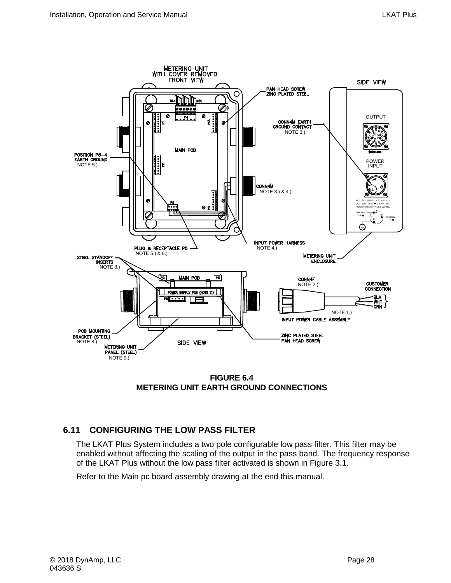

**FIGURE 6.4 METERING UNIT EARTH GROUND CONNECTIONS**

# <span id="page-41-1"></span><span id="page-41-0"></span>**6.11 CONFIGURING THE LOW PASS FILTER**

The LKAT Plus System includes a two pole configurable low pass filter. This filter may be enabled without affecting the scaling of the output in the pass band. The frequency response of the LKAT Plus without the low pass filter activated is shown in Figure 3.1.

Refer to the Main pc board assembly drawing at the end this manual.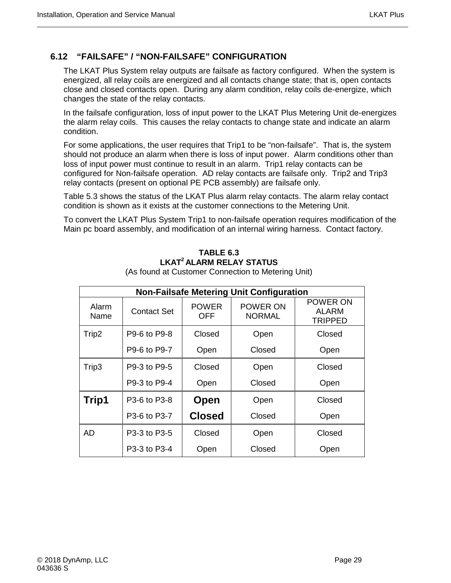### <span id="page-42-0"></span>**6.12 "FAILSAFE" / "NON-FAILSAFE" CONFIGURATION**

The LKAT Plus System relay outputs are failsafe as factory configured. When the system is energized, all relay coils are energized and all contacts change state; that is, open contacts close and closed contacts open. During any alarm condition, relay coils de-energize, which changes the state of the relay contacts.

In the failsafe configuration, loss of input power to the LKAT Plus Metering Unit de-energizes the alarm relay coils. This causes the relay contacts to change state and indicate an alarm condition.

For some applications, the user requires that Trip1 to be "non-failsafe". That is, the system should not produce an alarm when there is loss of input power. Alarm conditions other than loss of input power must continue to result in an alarm. Trip1 relay contacts can be configured for Non-failsafe operation. AD relay contacts are failsafe only. Trip2 and Trip3 relay contacts (present on optional PE PCB assembly) are failsafe only.

Table 5.3 shows the status of the LKAT Plus alarm relay contacts. The alarm relay contact condition is shown as it exists at the customer connections to the Metering Unit.

<span id="page-42-1"></span>To convert the LKAT Plus System Trip1 to non-failsafe operation requires modification of the Main pc board assembly, and modification of an internal wiring harness. Contact factory.

#### **TABLE 6.3 LKAT2 ALARM RELAY STATUS**

| <b>Non-Failsafe Metering Unit Configuration</b> |                    |                            |                           |                                            |  |  |  |  |
|-------------------------------------------------|--------------------|----------------------------|---------------------------|--------------------------------------------|--|--|--|--|
| Alarm<br>Name                                   | <b>Contact Set</b> | <b>POWER</b><br><b>OFF</b> | POWER ON<br><b>NORMAL</b> | POWER ON<br><b>ALARM</b><br><b>TRIPPED</b> |  |  |  |  |
| Trip2                                           | P9-6 to P9-8       | Closed                     | Open                      | Closed                                     |  |  |  |  |
|                                                 | P9-6 to P9-7       | Open                       | Closed                    | Open                                       |  |  |  |  |
| Trip3                                           | P9-3 to P9-5       | Closed                     | Open                      | Closed                                     |  |  |  |  |
|                                                 | P9-3 to P9-4       | Open                       | Closed                    | Open                                       |  |  |  |  |
| Trip1                                           | P3-6 to P3-8       | Open                       | Open                      | Closed                                     |  |  |  |  |
|                                                 | P3-6 to P3-7       | <b>Closed</b>              | Closed                    | Open                                       |  |  |  |  |
| <b>AD</b>                                       | P3-3 to P3-5       | Closed                     | Open                      | Closed                                     |  |  |  |  |
|                                                 | P3-3 to P3-4       | Open                       | Closed                    | Open                                       |  |  |  |  |

(As found at Customer Connection to Metering Unit)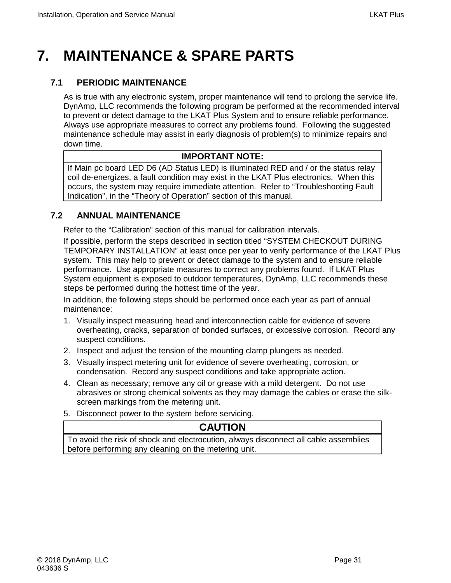# <span id="page-44-0"></span>**7. MAINTENANCE & SPARE PARTS**

# <span id="page-44-1"></span>**7.1 PERIODIC MAINTENANCE**

As is true with any electronic system, proper maintenance will tend to prolong the service life. DynAmp, LLC recommends the following program be performed at the recommended interval to prevent or detect damage to the LKAT Plus System and to ensure reliable performance. Always use appropriate measures to correct any problems found. Following the suggested maintenance schedule may assist in early diagnosis of problem(s) to minimize repairs and down time.

### **IMPORTANT NOTE:**

If Main pc board LED D6 (AD Status LED) is illuminated RED and / or the status relay coil de-energizes, a fault condition may exist in the LKAT Plus electronics. When this occurs, the system may require immediate attention. Refer to "Troubleshooting Fault Indication", in the "Theory of Operation" section of this manual.

# <span id="page-44-2"></span>**7.2 ANNUAL MAINTENANCE**

Refer to the "Calibration" section of this manual for calibration intervals.

If possible, perform the steps described in section titled "SYSTEM CHECKOUT DURING TEMPORARY INSTALLATION" at least once per year to verify performance of the LKAT Plus system. This may help to prevent or detect damage to the system and to ensure reliable performance. Use appropriate measures to correct any problems found. If LKAT Plus System equipment is exposed to outdoor temperatures, DynAmp, LLC recommends these steps be performed during the hottest time of the year.

In addition, the following steps should be performed once each year as part of annual maintenance:

- 1. Visually inspect measuring head and interconnection cable for evidence of severe overheating, cracks, separation of bonded surfaces, or excessive corrosion. Record any suspect conditions.
- 2. Inspect and adjust the tension of the mounting clamp plungers as needed.
- 3. Visually inspect metering unit for evidence of severe overheating, corrosion, or condensation. Record any suspect conditions and take appropriate action.
- 4. Clean as necessary; remove any oil or grease with a mild detergent. Do not use abrasives or strong chemical solvents as they may damage the cables or erase the silkscreen markings from the metering unit.
- 5. Disconnect power to the system before servicing.

# **CAUTION**

To avoid the risk of shock and electrocution, always disconnect all cable assemblies before performing any cleaning on the metering unit.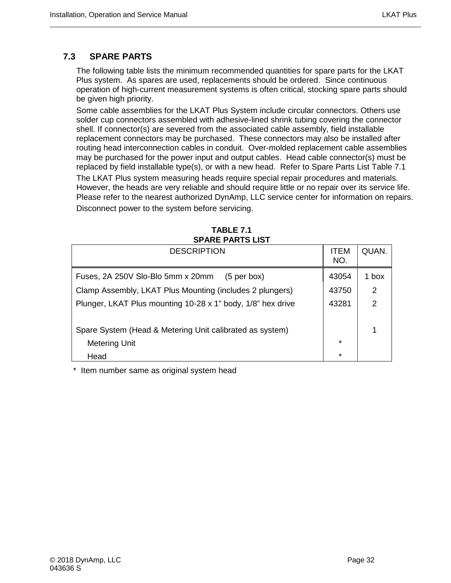# <span id="page-45-0"></span>**7.3 SPARE PARTS**

The following table lists the minimum recommended quantities for spare parts for the LKAT Plus system. As spares are used, replacements should be ordered. Since continuous operation of high-current measurement systems is often critical, stocking spare parts should be given high priority.

Some cable assemblies for the LKAT Plus System include circular connectors. Others use solder cup connectors assembled with adhesive-lined shrink tubing covering the connector shell. If connector(s) are severed from the associated cable assembly, field installable replacement connectors may be purchased. These connectors may also be installed after routing head interconnection cables in conduit. Over-molded replacement cable assemblies may be purchased for the power input and output cables. Head cable connector(s) must be replaced by field installable type(s), or with a new head. Refer to Spare Parts List Table 7.1

The LKAT Plus system measuring heads require special repair procedures and materials. However, the heads are very reliable and should require little or no repair over its service life. Please refer to the nearest authorized DynAmp, LLC service center for information on repairs.

Disconnect power to the system before servicing.

<span id="page-45-1"></span>

| <u>UI AILI AILIU LIU </u>                                   |                    |                |
|-------------------------------------------------------------|--------------------|----------------|
| <b>DESCRIPTION</b>                                          | <b>ITEM</b><br>NO. | QUAN.          |
| Fuses, 2A 250V Slo-Blo 5mm x 20mm<br>$(5 \text{ per box})$  | 43054              | 1 box          |
| Clamp Assembly, LKAT Plus Mounting (includes 2 plungers)    | 43750              | 2              |
| Plunger, LKAT Plus mounting 10-28 x 1" body, 1/8" hex drive | 43281              | $\overline{2}$ |
|                                                             |                    |                |
| Spare System (Head & Metering Unit calibrated as system)    |                    | 1              |
| Metering Unit                                               | $\star$            |                |
| Head                                                        | $\star$            |                |

**TABLE 7.1 SPARE PARTS LIST**

\* Item number same as original system head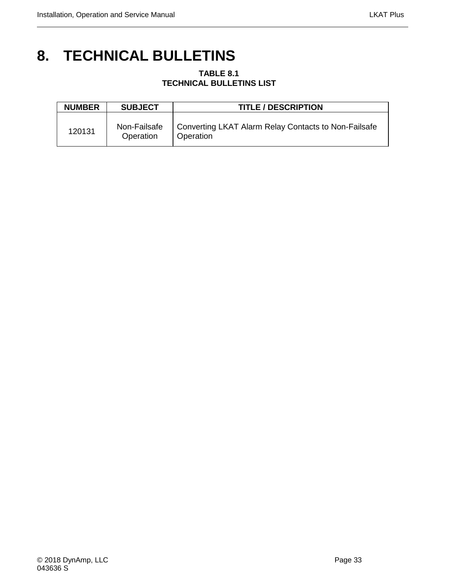# <span id="page-46-1"></span><span id="page-46-0"></span>**8. TECHNICAL BULLETINS**

#### **TABLE 8.1 TECHNICAL BULLETINS LIST**

| <b>NUMBER</b> | <b>SUBJECT</b>            | <b>TITLE / DESCRIPTION</b>                                        |
|---------------|---------------------------|-------------------------------------------------------------------|
| 120131        | Non-Failsafe<br>Operation | Converting LKAT Alarm Relay Contacts to Non-Failsafe<br>Operation |